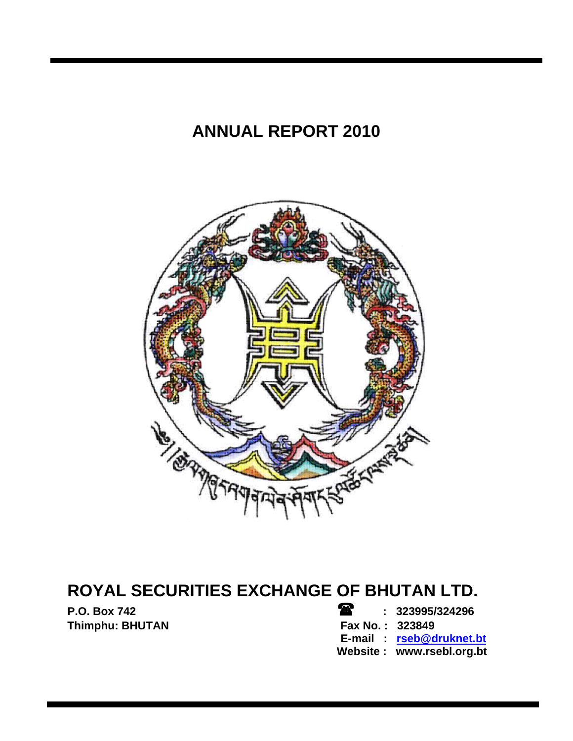# **ANNUAL REPORT 2010**



# **ROYAL SECURITIES EXCHANGE OF BHUTAN LTD.**

**P.O. Box 742 b 2.1 a 1.1 a 1.1 a 1.1 a 1.1 a 1.1 a 1.1 a 1.1 a 1.1 a 1.1 a 1.1 a 1.1 a 1.1 a 1.1 a 1.1 a 1.1 a 1.1 a 1.1 a 1.1 a 1.1 a 1.1 a 1.1 a 1.1 a 1.1 a 1.1 a 1.1 a 1.1 a 1.1 a 1.1 a 1.1 a 1.1 a 1.1 a 1.1 a 1. Thimphu: BHUTAN** 

# **E-mail : rseb@druknet.bt**

 **Website : www.rsebl.org.bt**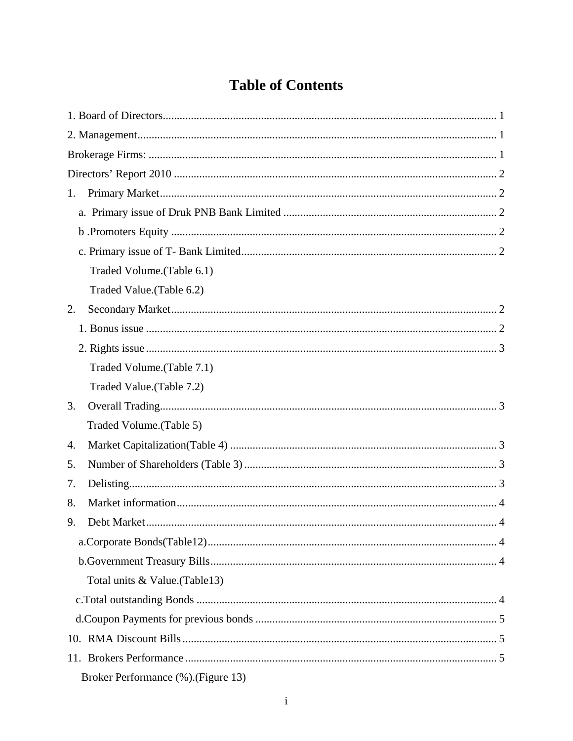# **Table of Contents**

| 1. |                                 |  |
|----|---------------------------------|--|
|    |                                 |  |
|    |                                 |  |
|    |                                 |  |
|    | Traded Volume. (Table 6.1)      |  |
|    | Traded Value.(Table 6.2)        |  |
| 2. |                                 |  |
|    |                                 |  |
|    |                                 |  |
|    | Traded Volume. (Table 7.1)      |  |
|    |                                 |  |
|    | Traded Value. (Table 7.2)       |  |
| 3. |                                 |  |
|    | Traded Volume. (Table 5)        |  |
| 4. |                                 |  |
| 5. |                                 |  |
| 7. |                                 |  |
| 8. |                                 |  |
| 9. |                                 |  |
|    |                                 |  |
|    |                                 |  |
|    | Total units & Value. (Table 13) |  |
|    |                                 |  |
|    |                                 |  |
|    |                                 |  |
|    |                                 |  |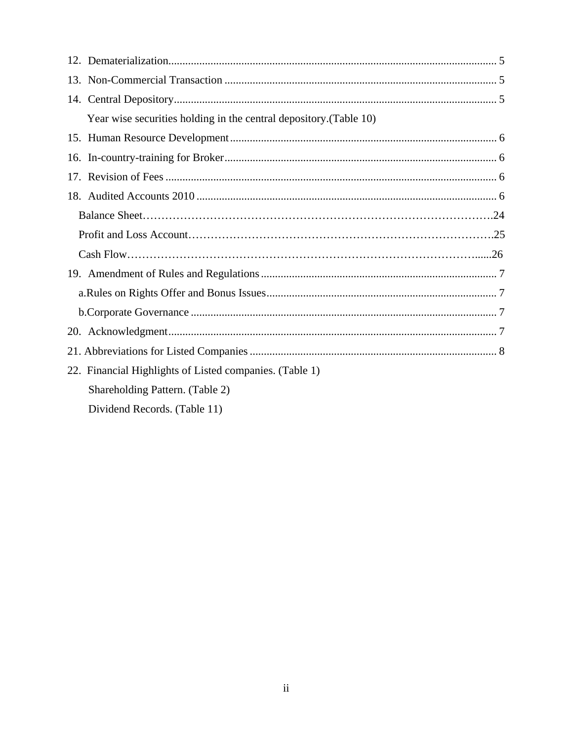| Year wise securities holding in the central depository. (Table 10) |
|--------------------------------------------------------------------|
|                                                                    |
|                                                                    |
|                                                                    |
|                                                                    |
|                                                                    |
|                                                                    |
|                                                                    |
|                                                                    |
|                                                                    |
|                                                                    |
|                                                                    |
|                                                                    |
| 22. Financial Highlights of Listed companies. (Table 1)            |
| Shareholding Pattern. (Table 2)                                    |
| Dividend Records. (Table 11)                                       |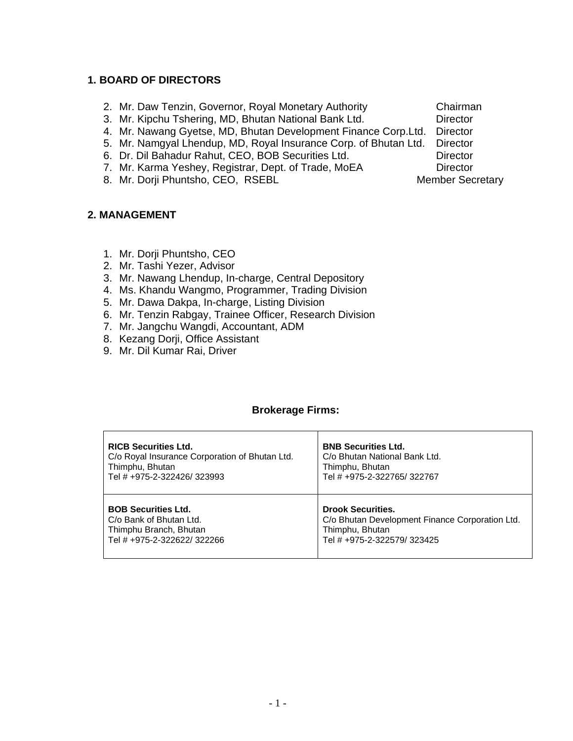# **1. BOARD OF DIRECTORS**

- 2. Mr. Daw Tenzin, Governor, Royal Monetary Authority Chairman
- 3. Mr. Kipchu Tshering, MD, Bhutan National Bank Ltd. Director
- 4. Mr. Nawang Gyetse, MD, Bhutan Development Finance Corp.Ltd. Director
- 5. Mr. Namgyal Lhendup, MD, Royal Insurance Corp. of Bhutan Ltd. Director
- 6. Dr. Dil Bahadur Rahut, CEO, BOB Securities Ltd. Director
- 7. Mr. Karma Yeshey, Registrar, Dept. of Trade, MoEA Director
- 8. Mr. Dorji Phuntsho, CEO, RSEBL Member Secretary

### **2. MANAGEMENT**

- 1. Mr. Dorji Phuntsho, CEO
- 2. Mr. Tashi Yezer, Advisor
- 3. Mr. Nawang Lhendup, In-charge, Central Depository
- 4. Ms. Khandu Wangmo, Programmer, Trading Division
- 5. Mr. Dawa Dakpa, In-charge, Listing Division
- 6. Mr. Tenzin Rabgay, Trainee Officer, Research Division
- 7. Mr. Jangchu Wangdi, Accountant, ADM
- 8. Kezang Dorji, Office Assistant
- 9. Mr. Dil Kumar Rai, Driver

#### **Brokerage Firms:**

| <b>RICB Securities Ltd.</b>                    | <b>BNB Securities Ltd.</b>                      |
|------------------------------------------------|-------------------------------------------------|
| C/o Royal Insurance Corporation of Bhutan Ltd. | C/o Bhutan National Bank Ltd.                   |
| Thimphu, Bhutan                                | Thimphu, Bhutan                                 |
| Tel # +975-2-322426/323993                     | Tel # +975-2-322765/322767                      |
| <b>BOB Securities Ltd.</b>                     | <b>Drook Securities.</b>                        |
| C/o Bank of Bhutan Ltd.                        | C/o Bhutan Development Finance Corporation Ltd. |
| Thimphu Branch, Bhutan                         | Thimphu, Bhutan                                 |
| Tel # +975-2-322622/322266                     | Tel # +975-2-322579/323425                      |

- 
- 
-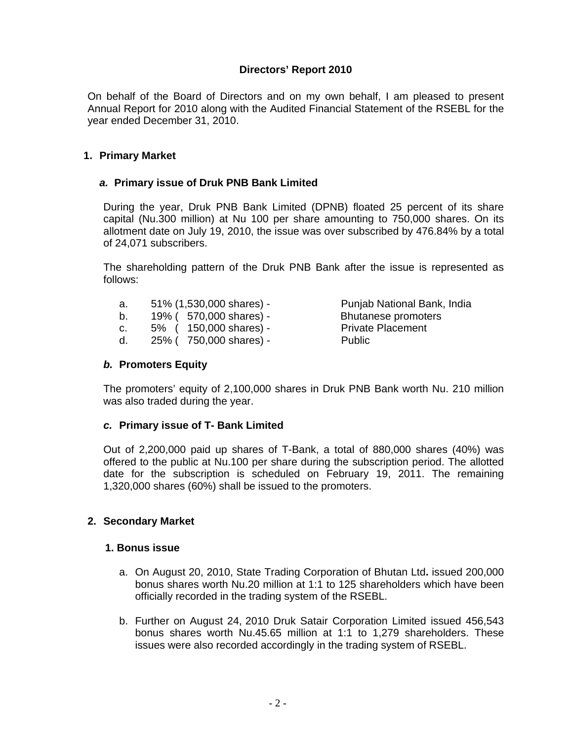# **Directors' Report 2010**

On behalf of the Board of Directors and on my own behalf, I am pleased to present Annual Report for 2010 along with the Audited Financial Statement of the RSEBL for the year ended December 31, 2010.

#### **1. Primary Market**

#### *a.* **Primary issue of Druk PNB Bank Limited**

During the year, Druk PNB Bank Limited (DPNB) floated 25 percent of its share capital (Nu.300 million) at Nu 100 per share amounting to 750,000 shares. On its allotment date on July 19, 2010, the issue was over subscribed by 476.84% by a total of 24,071 subscribers.

The shareholding pattern of the Druk PNB Bank after the issue is represented as follows:

| a. | 51% (1,530,000 shares) - |  |
|----|--------------------------|--|
|----|--------------------------|--|

- b. 19% ( 570,000 shares) Bhutanese promoters
- c. 5% ( 150,000 shares) Private Placement
- d. 25% ( 750,000 shares) Public

Punjab National Bank, India

#### *b.* **Promoters Equity**

The promoters' equity of 2,100,000 shares in Druk PNB Bank worth Nu. 210 million was also traded during the year.

### *c.* **Primary issue of T- Bank Limited**

Out of 2,200,000 paid up shares of T-Bank, a total of 880,000 shares (40%) was offered to the public at Nu.100 per share during the subscription period. The allotted date for the subscription is scheduled on February 19, 2011. The remaining 1,320,000 shares (60%) shall be issued to the promoters.

### **2. Secondary Market**

#### **1. Bonus issue**

- a. On August 20, 2010, State Trading Corporation of Bhutan Ltd**.** issued 200,000 bonus shares worth Nu.20 million at 1:1 to 125 shareholders which have been officially recorded in the trading system of the RSEBL.
- b. Further on August 24, 2010 Druk Satair Corporation Limited issued 456,543 bonus shares worth Nu.45.65 million at 1:1 to 1,279 shareholders. These issues were also recorded accordingly in the trading system of RSEBL.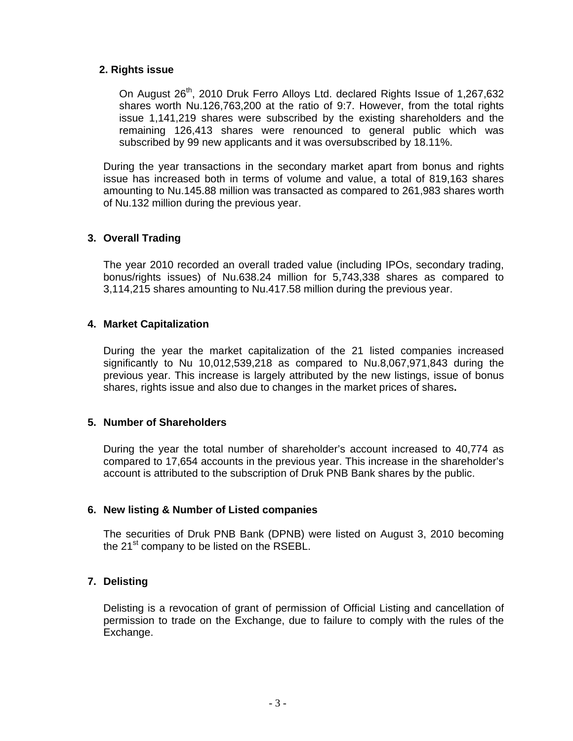#### **2. Rights issue**

On August 26<sup>th</sup>, 2010 Druk Ferro Alloys Ltd. declared Rights Issue of 1,267,632 shares worth Nu.126,763,200 at the ratio of 9:7. However, from the total rights issue 1,141,219 shares were subscribed by the existing shareholders and the remaining 126,413 shares were renounced to general public which was subscribed by 99 new applicants and it was oversubscribed by 18.11%.

During the year transactions in the secondary market apart from bonus and rights issue has increased both in terms of volume and value, a total of 819,163 shares amounting to Nu.145.88 million was transacted as compared to 261,983 shares worth of Nu.132 million during the previous year.

### **3. Overall Trading**

The year 2010 recorded an overall traded value (including IPOs, secondary trading, bonus/rights issues) of Nu.638.24 million for 5,743,338 shares as compared to 3,114,215 shares amounting to Nu.417.58 million during the previous year.

#### **4. Market Capitalization**

During the year the market capitalization of the 21 listed companies increased significantly to Nu 10,012,539,218 as compared to Nu.8,067,971,843 during the previous year. This increase is largely attributed by the new listings, issue of bonus shares, rights issue and also due to changes in the market prices of shares**.** 

### **5. Number of Shareholders**

During the year the total number of shareholder's account increased to 40,774 as compared to 17,654 accounts in the previous year. This increase in the shareholder's account is attributed to the subscription of Druk PNB Bank shares by the public.

### **6. New listing & Number of Listed companies**

The securities of Druk PNB Bank (DPNB) were listed on August 3, 2010 becoming the 21<sup>st</sup> company to be listed on the RSEBL.

### **7. Delisting**

Delisting is a revocation of grant of permission of Official Listing and cancellation of permission to trade on the Exchange, due to failure to comply with the rules of the Exchange.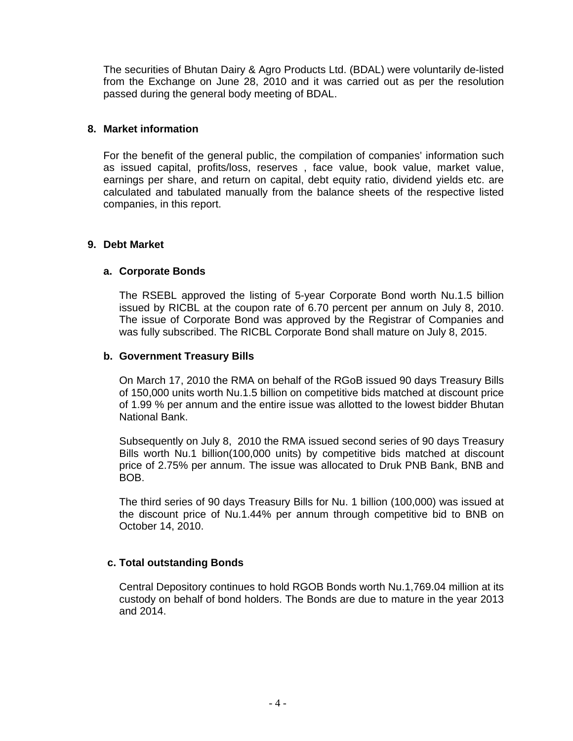The securities of Bhutan Dairy & Agro Products Ltd. (BDAL) were voluntarily de-listed from the Exchange on June 28, 2010 and it was carried out as per the resolution passed during the general body meeting of BDAL.

## **8. Market information**

For the benefit of the general public, the compilation of companies' information such as issued capital, profits/loss, reserves , face value, book value, market value, earnings per share, and return on capital, debt equity ratio, dividend yields etc. are calculated and tabulated manually from the balance sheets of the respective listed companies, in this report.

### **9. Debt Market**

# **a. Corporate Bonds**

The RSEBL approved the listing of 5-year Corporate Bond worth Nu.1.5 billion issued by RICBL at the coupon rate of 6.70 percent per annum on July 8, 2010. The issue of Corporate Bond was approved by the Registrar of Companies and was fully subscribed. The RICBL Corporate Bond shall mature on July 8, 2015.

### **b. Government Treasury Bills**

On March 17, 2010 the RMA on behalf of the RGoB issued 90 days Treasury Bills of 150,000 units worth Nu.1.5 billion on competitive bids matched at discount price of 1.99 % per annum and the entire issue was allotted to the lowest bidder Bhutan National Bank.

Subsequently on July 8, 2010 the RMA issued second series of 90 days Treasury Bills worth Nu.1 billion(100,000 units) by competitive bids matched at discount price of 2.75% per annum. The issue was allocated to Druk PNB Bank, BNB and BOB.

The third series of 90 days Treasury Bills for Nu. 1 billion (100,000) was issued at the discount price of Nu.1.44% per annum through competitive bid to BNB on October 14, 2010.

### **c. Total outstanding Bonds**

Central Depository continues to hold RGOB Bonds worth Nu.1,769.04 million at its custody on behalf of bond holders. The Bonds are due to mature in the year 2013 and 2014.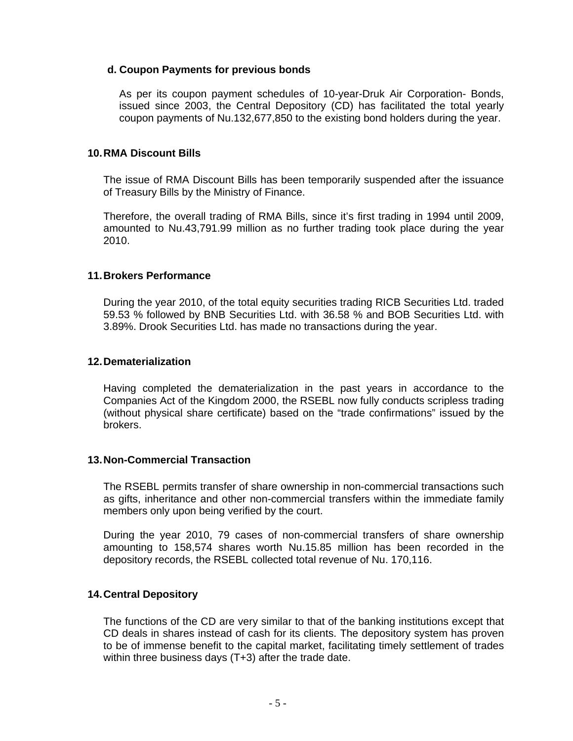#### **d. Coupon Payments for previous bonds**

As per its coupon payment schedules of 10-year-Druk Air Corporation- Bonds, issued since 2003, the Central Depository (CD) has facilitated the total yearly coupon payments of Nu.132,677,850 to the existing bond holders during the year.

#### **10. RMA Discount Bills**

The issue of RMA Discount Bills has been temporarily suspended after the issuance of Treasury Bills by the Ministry of Finance.

Therefore, the overall trading of RMA Bills, since it's first trading in 1994 until 2009, amounted to Nu.43,791.99 million as no further trading took place during the year 2010.

#### **11. Brokers Performance**

During the year 2010, of the total equity securities trading RICB Securities Ltd. traded 59.53 % followed by BNB Securities Ltd. with 36.58 % and BOB Securities Ltd. with 3.89%. Drook Securities Ltd. has made no transactions during the year.

#### **12. Dematerialization**

Having completed the dematerialization in the past years in accordance to the Companies Act of the Kingdom 2000, the RSEBL now fully conducts scripless trading (without physical share certificate) based on the "trade confirmations" issued by the brokers.

#### **13. Non-Commercial Transaction**

The RSEBL permits transfer of share ownership in non-commercial transactions such as gifts, inheritance and other non-commercial transfers within the immediate family members only upon being verified by the court.

During the year 2010, 79 cases of non-commercial transfers of share ownership amounting to 158,574 shares worth Nu.15.85 million has been recorded in the depository records, the RSEBL collected total revenue of Nu. 170,116.

### **14. Central Depository**

The functions of the CD are very similar to that of the banking institutions except that CD deals in shares instead of cash for its clients. The depository system has proven to be of immense benefit to the capital market, facilitating timely settlement of trades within three business days (T+3) after the trade date.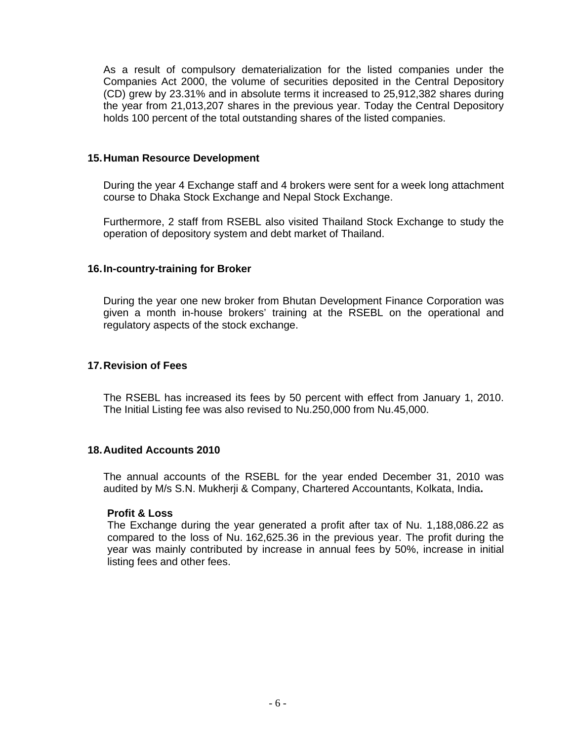As a result of compulsory dematerialization for the listed companies under the Companies Act 2000, the volume of securities deposited in the Central Depository (CD) grew by 23.31% and in absolute terms it increased to 25,912,382 shares during the year from 21,013,207 shares in the previous year. Today the Central Depository holds 100 percent of the total outstanding shares of the listed companies.

#### **15. Human Resource Development**

During the year 4 Exchange staff and 4 brokers were sent for a week long attachment course to Dhaka Stock Exchange and Nepal Stock Exchange.

Furthermore, 2 staff from RSEBL also visited Thailand Stock Exchange to study the operation of depository system and debt market of Thailand.

### **16. In-country-training for Broker**

During the year one new broker from Bhutan Development Finance Corporation was given a month in-house brokers' training at the RSEBL on the operational and regulatory aspects of the stock exchange.

### **17. Revision of Fees**

The RSEBL has increased its fees by 50 percent with effect from January 1, 2010. The Initial Listing fee was also revised to Nu.250,000 from Nu.45,000.

## **18. Audited Accounts 2010**

The annual accounts of the RSEBL for the year ended December 31, 2010 was audited by M/s S.N. Mukherji & Company, Chartered Accountants, Kolkata, India**.** 

#### **Profit & Loss**

The Exchange during the year generated a profit after tax of Nu. 1,188,086.22 as compared to the loss of Nu. 162,625.36 in the previous year. The profit during the year was mainly contributed by increase in annual fees by 50%, increase in initial listing fees and other fees.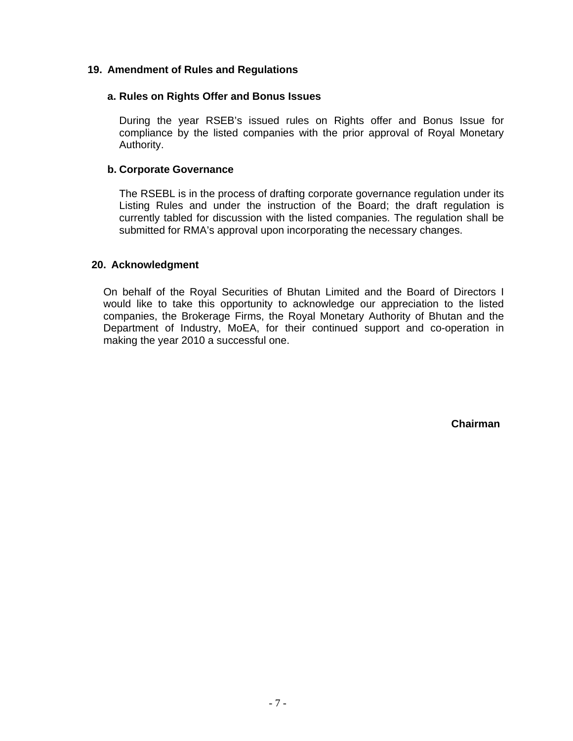## **19. Amendment of Rules and Regulations**

#### **a. Rules on Rights Offer and Bonus Issues**

During the year RSEB's issued rules on Rights offer and Bonus Issue for compliance by the listed companies with the prior approval of Royal Monetary Authority.

#### **b. Corporate Governance**

The RSEBL is in the process of drafting corporate governance regulation under its Listing Rules and under the instruction of the Board; the draft regulation is currently tabled for discussion with the listed companies. The regulation shall be submitted for RMA's approval upon incorporating the necessary changes.

#### **20. Acknowledgment**

On behalf of the Royal Securities of Bhutan Limited and the Board of Directors I would like to take this opportunity to acknowledge our appreciation to the listed companies, the Brokerage Firms, the Royal Monetary Authority of Bhutan and the Department of Industry, MoEA, for their continued support and co-operation in making the year 2010 a successful one.

**Chairman**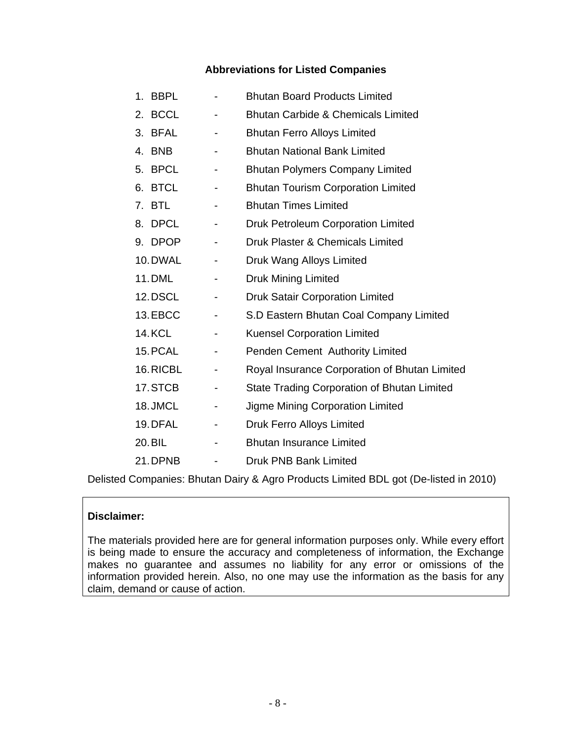# **Abbreviations for Listed Companies**

|    | 1. BBPL       |                          | <b>Bhutan Board Products Limited</b>               |
|----|---------------|--------------------------|----------------------------------------------------|
| 2. | <b>BCCL</b>   |                          | <b>Bhutan Carbide &amp; Chemicals Limited</b>      |
|    | 3. BFAL       | $\overline{\phantom{a}}$ | <b>Bhutan Ferro Alloys Limited</b>                 |
| 4. | <b>BNB</b>    |                          | <b>Bhutan National Bank Limited</b>                |
|    | 5. BPCL       |                          | <b>Bhutan Polymers Company Limited</b>             |
|    | 6. BTCL       |                          | <b>Bhutan Tourism Corporation Limited</b>          |
|    | 7. BTL        |                          | <b>Bhutan Times Limited</b>                        |
|    | 8. DPCL       |                          | Druk Petroleum Corporation Limited                 |
|    | 9. DPOP       | -                        | Druk Plaster & Chemicals Limited                   |
|    | 10. DWAL      |                          | Druk Wang Alloys Limited                           |
|    | <b>11.DML</b> |                          | <b>Druk Mining Limited</b>                         |
|    | 12.DSCL       |                          | <b>Druk Satair Corporation Limited</b>             |
|    | 13.EBCC       |                          | S.D Eastern Bhutan Coal Company Limited            |
|    | <b>14.KCL</b> | $\overline{\phantom{0}}$ | <b>Kuensel Corporation Limited</b>                 |
|    | 15. PCAL      |                          | Penden Cement Authority Limited                    |
|    | 16.RICBL      |                          | Royal Insurance Corporation of Bhutan Limited      |
|    | 17.STCB       |                          | <b>State Trading Corporation of Bhutan Limited</b> |
|    | 18. JMCL      |                          | Jigme Mining Corporation Limited                   |
|    | 19. DFAL      |                          | Druk Ferro Alloys Limited                          |
|    | 20. BIL       |                          | <b>Bhutan Insurance Limited</b>                    |
|    | 21.DPNB       |                          | <b>Druk PNB Bank Limited</b>                       |

Delisted Companies: Bhutan Dairy & Agro Products Limited BDL got (De-listed in 2010)

# **Disclaimer:**

The materials provided here are for general information purposes only. While every effort is being made to ensure the accuracy and completeness of information, the Exchange makes no guarantee and assumes no liability for any error or omissions of the information provided herein. Also, no one may use the information as the basis for any claim, demand or cause of action.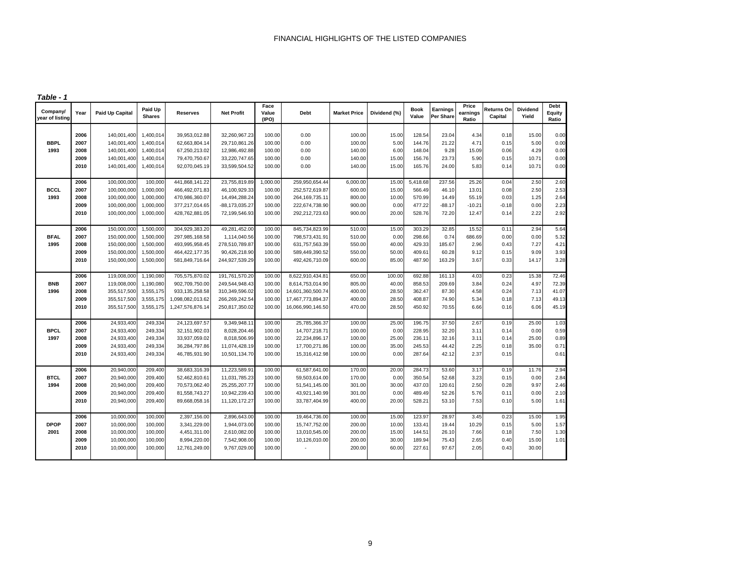*Table - 1*

| Company/<br>year of listing | Year | <b>Paid Up Capital</b> | Paid Up<br><b>Shares</b> | Reserves          | <b>Net Profit</b> | Face<br>Value<br>(IPO) | Debt              | <b>Market Price</b> | Dividend (%) | <b>Book</b><br>Value | Earnings<br>Per Share | Price<br>earnings<br>Ratio | Returns On<br>Capital | <b>Dividend</b><br>Yield | Debt<br>Equity<br>Ratio |
|-----------------------------|------|------------------------|--------------------------|-------------------|-------------------|------------------------|-------------------|---------------------|--------------|----------------------|-----------------------|----------------------------|-----------------------|--------------------------|-------------------------|
|                             | 2006 | 140,001,400            | 1,400,014                | 39,953,012.88     | 32,260,967.23     | 100.00                 | 0.00              | 100.00              | 15.00        | 128.54               | 23.04                 | 4.34                       | 0.18                  | 15.00                    | 0.00                    |
| <b>BBPL</b>                 | 2007 | 140,001,400            | 1,400,014                | 62,663,804.14     | 29,710,861.26     | 100.00                 | 0.00              | 100.00              | 5.00         | 144.76               | 21.22                 | 4.71                       | 0.15                  | 5.00                     | 0.00                    |
| 1993                        | 2008 | 140,001,400            | 1,400,014                | 67,250,213.02     | 12,986,492.88     | 100.00                 | 0.00              | 140.00              | 6.00         | 148.04               | 9.28                  | 15.09                      | 0.06                  | 4.29                     | 0.00                    |
|                             | 2009 | 140,001,400            | 1,400,014                | 79,470,750.67     | 33,220,747.65     | 100.00                 | 0.00              | 140.00              | 15.00        | 156.76               | 23.73                 | 5.90                       | 0.15                  | 10.71                    | 0.00                    |
|                             | 2010 | 140,001,400            | 1,400,014                | 92,070,045.19     | 33,599,504.52     | 100.00                 | 0.00              | 140.00              | 15.00        | 165.76               | 24.00                 | 5.83                       | 0.14                  | 10.71                    | 0.00                    |
|                             |      |                        |                          |                   |                   |                        |                   |                     |              |                      |                       |                            |                       |                          |                         |
|                             | 2006 | 100,000,000            | 100,000                  | 441,868,141.22    | 23,755,819.89     | 1,000.00               | 259,950,654.44    | 6,000.00            | 15.00        | 5,418.68             | 237.56                | 25.26                      | 0.04                  | 2.50                     | 2.60                    |
| <b>BCCL</b>                 | 2007 | 100,000,000            | 1,000,000                | 466,492,071.83    | 46,100,929.33     | 100.00                 | 252,572,619.87    | 600.00              | 15.00        | 566.49               | 46.10                 | 13.01                      | 0.08                  | 2.50                     | 2.53                    |
| 1993                        | 2008 | 100,000,000            | 1,000,000                | 470,986,360.07    | 14,494,288.24     | 100.00                 | 264, 169, 735. 11 | 800.00              | 10.00        | 570.99               | 14.49                 | 55.19                      | 0.03                  | 1.25                     | 2.64                    |
|                             | 2009 | 100,000,000            | 1,000,000                | 377,217,014.65    | -88,173,035.27    | 100.00                 | 222,674,738.90    | 900.00              | 0.00         | 477.22               | $-88.17$              | $-10.21$                   | $-0.18$               | 0.00                     | 2.23                    |
|                             | 2010 | 100,000,000            | 1,000,000                | 428,762,881.05    | 72,199,546.93     | 100.00                 | 292,212,723.63    | 900.00              | 20.00        | 528.76               | 72.20                 | 12.47                      | 0.14                  | 2.22                     | 2.92                    |
|                             | 2006 | 150,000,000            | 1,500,000                | 304,929,383.20    | 49,281,452.00     | 100.00                 | 845,734,823.99    | 510.00              | 15.00        | 303.29               | 32.85                 | 15.52                      | 0.11                  | 2.94                     | 5.64                    |
| <b>BFAL</b>                 | 2007 | 150,000,000            | 1,500,000                | 297,985,168.58    | 1,114,040.56      | 100.00                 | 798,573,431.91    | 510.00              | 0.00         | 298.66               | 0.74                  | 686.69                     | 0.00                  | 0.00                     | 5.32                    |
| 1995                        | 2008 | 150,000,000            | 1,500,000                | 493,995,958.45    | 278,510,789.87    | 100.00                 | 631,757,563.39    | 550.00              | 40.00        | 429.33               | 185.67                | 2.96                       | 0.43                  | 7.27                     | 4.21                    |
|                             | 2009 | 150,000,000            | 1,500,000                | 464, 422, 177. 35 | 90,426,218.90     | 100.00                 | 589,449,390.52    | 550.00              | 50.00        | 409.61               | 60.28                 | 9.12                       | 0.15                  | 9.09                     | 3.93                    |
|                             | 2010 | 150,000,000            | 1,500,000                | 581,849,716.64    | 244,927,539.29    | 100.00                 | 492,426,710.09    | 600.00              | 85.00        | 487.90               | 163.29                | 3.67                       | 0.33                  | 14.17                    | 3.28                    |
|                             | 2006 | 119,008,000            | 1,190,080                | 705,575,870.02    | 191,761,570.20    | 100.00                 | 8,622,910,434.81  | 650.00              | 100.00       | 692.88               | 161.13                | 4.03                       | 0.23                  | 15.38                    | 72.46                   |
| <b>BNB</b>                  | 2007 | 119,008,000            | 1,190,080                | 902,709,750.00    | 249,544,948.43    | 100.00                 | 8,614,753,014.90  | 805.00              | 40.00        | 858.53               | 209.69                | 3.84                       | 0.24                  | 4.97                     | 72.39                   |
| 1996                        | 2008 | 355,517,500            | 3,555,175                | 933, 135, 258.58  | 310,349,596.02    | 100.00                 | 14,601,360,500.74 | 400.00              | 28.50        | 362.47               | 87.30                 | 4.58                       | 0.24                  | 7.13                     | 41.07                   |
|                             | 2009 | 355,517,500            | 3,555,175                | 1,098,082,013.62  | 266,269,242.54    | 100.00                 | 17,467,773,894.37 | 400.00              | 28.50        | 408.87               | 74.90                 | 5.34                       | 0.18                  | 7.13                     | 49.13                   |
|                             | 2010 | 355,517,500            | 3,555,175                | 1,247,576,876.14  | 250,817,350.02    | 100.00                 | 16,066,990,146.50 | 470.00              | 28.50        | 450.92               | 70.55                 | 6.66                       | 0.16                  | 6.06                     | 45.19                   |
|                             | 2006 | 24,933,400             | 249,334                  | 24,123,697.57     | 9,349,948.11      | 100.00                 | 25,785,366.37     | 100.00              | 25.00        | 196.75               | 37.50                 | 2.67                       | 0.19                  | 25.00                    | 1.03                    |
| <b>BPCL</b>                 | 2007 | 24,933,400             | 249,334                  | 32,151,902.03     | 8,028,204.46      | 100.00                 | 14,707,218.71     | 100.00              | 0.00         | 228.95               | 32.20                 | 3.11                       | 0.14                  | 0.00                     | 0.59                    |
| 1997                        | 2008 | 24,933,400             | 249,334                  | 33,937,059.02     | 8,018,506.99      | 100.00                 | 22,234,896.17     | 100.00              | 25.00        | 236.11               | 32.16                 | 3.11                       | 0.14                  | 25.00                    | 0.89                    |
|                             | 2009 | 24,933,400             | 249,334                  | 36,284,797.86     | 11,074,428.19     | 100.00                 | 17,700,271.86     | 100.00              | 35.00        | 245.53               | 44.42                 | 2.25                       | 0.18                  | 35.00                    | 0.71                    |
|                             | 2010 | 24,933,400             | 249,334                  | 46,785,931.90     | 10,501,134.70     | 100.00                 | 15,316,412.98     | 100.00              | 0.00         | 287.64               | 42.12                 | 2.37                       | 0.15                  |                          | 0.61                    |
|                             | 2006 | 20,940,000             | 209,400                  | 38,683,316.39     | 11,223,589.91     | 100.00                 | 61,587,641.00     | 170.00              | 20.00        | 284.73               | 53.60                 | 3.17                       | 0.19                  | 11.76                    | 2.94                    |
| <b>BTCL</b>                 | 2007 | 20,940,000             | 209,400                  | 52,462,810.6      | 11,031,785.23     | 100.00                 | 59,503,614.00     | 170.00              | 0.00         | 350.54               | 52.68                 | 3.23                       | 0.15                  | 0.00                     | 2.84                    |
| 1994                        | 2008 | 20,940,000             | 209,400                  | 70,573,062.40     | 25,255,207.77     | 100.00                 | 51,541,145.00     | 301.00              | 30.00        | 437.03               | 120.61                | 2.50                       | 0.28                  | 9.97                     | 2.46                    |
|                             | 2009 | 20,940,000             | 209,400                  | 81,558,743.27     | 10,942,239.43     | 100.00                 | 43,921,140.99     | 301.00              | 0.00         | 489.49               | 52.26                 | 5.76                       | 0.11                  | 0.00                     | 2.10                    |
|                             | 2010 | 20,940,000             | 209,400                  | 89,668,058.16     | 11,120,172.27     | 100.00                 | 33,787,404.99     | 400.00              | 20.00        | 528.21               | 53.10                 | 7.53                       | 0.10                  | 5.00                     | 1.61                    |
|                             | 2006 | 10,000,000             | 100,000                  | 2,397,156.00      | 2,896,643.00      | 100.00                 | 19,464,736.00     | 100.00              | 15.00        | 123.97               | 28.97                 | 3.45                       | 0.23                  | 15.00                    | 1.95                    |
| <b>DPOP</b>                 | 2007 | 10,000,000             | 100,000                  | 3,341,229.00      | 1,944,073.00      | 100.00                 | 15,747,752.00     | 200.00              | 10.00        | 133.41               | 19.44                 | 10.29                      | 0.15                  | 5.00                     | 1.57                    |
| 2001                        | 2008 | 10,000,000             | 100,000                  | 4,451,311.00      | 2,610,082.00      | 100.00                 | 13,010,545.00     | 200.00              | 15.00        | 144.51               | 26.10                 | 7.66                       | 0.18                  | 7.50                     | 1.30                    |
|                             | 2009 | 10,000,000             | 100,000                  | 8,994,220.00      | 7,542,908.00      | 100.00                 | 10,126,010.00     | 200.00              | 30.00        | 189.94               | 75.43                 | 2.65                       | 0.40                  | 15.00                    | 1.01                    |
|                             | 2010 | 10,000,000             | 100,000                  | 12,761,249.00     | 9,767,029.00      | 100.00                 |                   | 200.00              | 60.00        | 227.61               | 97.67                 | 2.05                       | 0.43                  | 30.00                    |                         |
|                             |      |                        |                          |                   |                   |                        |                   |                     |              |                      |                       |                            |                       |                          |                         |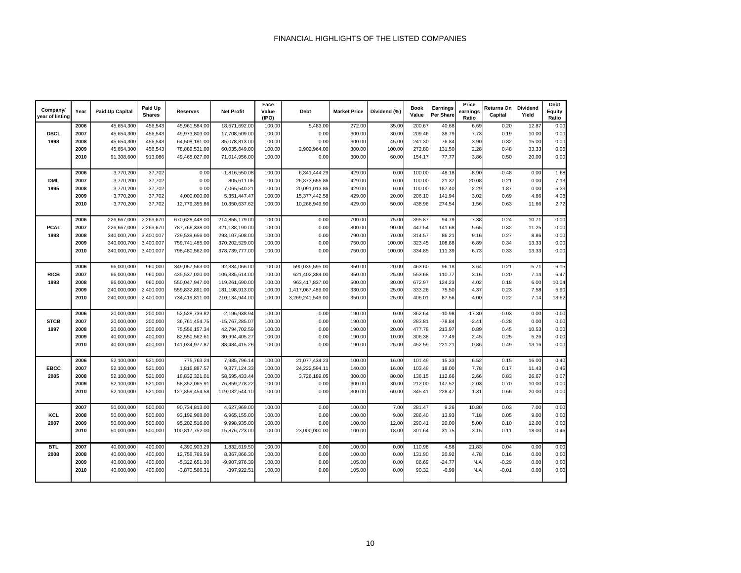| Company/<br>year of listing | Year | <b>Paid Up Capital</b> | Paid Up<br><b>Shares</b> | Reserves        | <b>Net Profit</b> | Face<br>Value<br>(IPO) | <b>Debt</b>      | <b>Market Price</b> | Dividend (%) | <b>Book</b><br>Value | Earnings<br>Per Share | Price<br>earnings<br>Ratio | Returns On<br>Capital | <b>Dividend</b><br>Yield | Debt<br>Equity<br>Ratio |
|-----------------------------|------|------------------------|--------------------------|-----------------|-------------------|------------------------|------------------|---------------------|--------------|----------------------|-----------------------|----------------------------|-----------------------|--------------------------|-------------------------|
|                             | 2006 | 45,654,300             | 456,543                  | 45,961,584.00   | 18,571,692.00     | 100.00                 | 5,483.00         | 272.00              | 35.00        | 200.67               | 40.68                 | 6.69                       | 0.20                  | 12.87                    | 0.00                    |
| <b>DSCL</b>                 | 2007 | 45,654,300             | 456,543                  | 49,973,803.00   | 17,708,509.00     | 100.00                 | 0.00             | 300.00              | 30.00        | 209.46               | 38.79                 | 7.73                       | 0.19                  | 10.00                    | 0.00                    |
| 1998                        | 2008 | 45,654,300             | 456,543                  | 64,508,181.00   | 35,078,813.00     | 100.00                 | 0.00             | 300.00              | 45.00        | 241.30               | 76.84                 | 3.90                       | 0.32                  | 15.00                    | 0.00                    |
|                             | 2009 | 45,654,300             | 456,543                  | 78,889,531.00   | 60,035,649.00     | 100.00                 | 2,902,964.00     | 300.00              | 100.00       | 272.80               | 131.50                | 2.28                       | 0.48                  | 33.33                    | 0.06                    |
|                             | 2010 | 91,308,600             | 913,086                  | 49,465,027.00   | 71,014,956.00     | 100.00                 | 0.00             | 300.00              | 60.00        | 154.17               | 77.77                 | 3.86                       | 0.50                  | 20.00                    | 0.00                    |
|                             |      |                        |                          |                 |                   |                        |                  |                     |              |                      |                       |                            |                       |                          |                         |
|                             | 2006 | 3,770,200              | 37,702                   | 0.00            | $-1,816,550.08$   | 100.00                 | 6,341,444.29     | 429.00              | 0.00         | 100.00               | $-48.18$              | $-8.90$                    | $-0.48$               | 0.00                     | 1.68                    |
| <b>DML</b>                  | 2007 | 3,770,200              | 37,702                   | 0.00            | 805,611.06        | 100.00                 | 26,873,655.86    | 429.00              | 0.00         | 100.00               | 21.37                 | 20.08                      | 0.21                  | 0.00                     | 7.13                    |
| 1995                        | 2008 | 3,770,200              | 37,702                   | 0.00            | 7,065,540.21      | 100.00                 | 20,091,013.86    | 429.00              | 0.00         | 100.00               | 187.40                | 2.29                       | 1.87                  | 0.00                     | 5.33                    |
|                             | 2009 | 3,770,200              | 37,702                   | 4,000,000.00    | 5,351,447.47      | 100.00                 | 15,377,442.58    | 429.00              | 20.00        | 206.10               | 141.94                | 3.02                       | 0.69                  | 4.66                     | 4.08                    |
|                             | 2010 | 3,770,200              | 37,702                   | 12,779,355.86   | 10,350,637.62     | 100.00                 | 10,266,949.90    | 429.00              | 50.00        | 438.96               | 274.54                | 1.56                       | 0.63                  | 11.66                    | 2.72                    |
|                             |      |                        |                          |                 |                   |                        |                  |                     |              |                      |                       |                            |                       |                          |                         |
|                             | 2006 | 226,667,000            | 2,266,670                | 670,628,448.00  | 214,855,179.00    | 100.00                 | 0.00             | 700.00              | 75.00        | 395.87               | 94.79                 | 7.38                       | 0.24                  | 10.71                    | 0.00                    |
| <b>PCAL</b>                 | 2007 | 226,667,000            | 2,266,670                | 787,766,338.00  | 321,138,190.00    | 100.00                 | 0.00             | 800.00              | 90.00        | 447.54               | 141.68                | 5.65                       | 0.32                  | 11.25                    | 0.00                    |
| 1993                        | 2008 | 340,000,700            | 3,400,007                | 729,539,656.00  | 293,107,508.00    | 100.00                 | 0.00             | 790.00              | 70.00        | 314.57               | 86.21                 | 9.16                       | 0.27                  | 8.86                     | 0.00                    |
|                             | 2009 | 340,000,700            | 3,400,007                | 759,741,485.00  | 370,202,529.00    | 100.00                 | 0.00             | 750.00              | 100.00       | 323.45               | 108.88                | 6.89                       | 0.34                  | 13.33                    | 0.00                    |
|                             | 2010 | 340,000,700            | 3,400,007                | 798,480,562.00  | 378,739,777.00    | 100.00                 | 0.00             | 750.00              | 100.00       | 334.85               | 111.39                | 6.73                       | 0.33                  | 13.33                    | 0.00                    |
|                             |      |                        |                          |                 |                   |                        |                  |                     |              |                      |                       |                            |                       |                          |                         |
|                             | 2006 | 96,000,000             | 960,000                  | 349,057,563.00  | 92,334,066.00     | 100.00                 | 590,039,595.00   | 350.00              | 20.00        | 463.60               | 96.18                 | 3.64                       | 0.21                  | 5.71                     | 6.15                    |
| <b>RICB</b>                 | 2007 | 96,000,000             | 960,000                  | 435,537,020.00  | 106,335,614.00    | 100.00                 | 621,402,384.00   | 350.00              | 25.00        | 553.68               | 110.77                | 3.16                       | 0.20                  | 7.14                     | 6.47                    |
| 1993                        | 2008 | 96,000,000             | 960,000                  | 550,047,947.00  | 119,261,690.00    | 100.00                 | 963,417,837.00   | 500.00              | 30.00        | 672.97               | 124.23                | 4.02                       | 0.18                  | 6.00                     | 10.04                   |
|                             | 2009 | 240,000,000            | 2,400,000                | 559,832,891.00  | 181,198,913.00    | 100.00                 | 1,417,067,489.00 | 330.00              | 25.00        | 333.26               | 75.50                 | 4.37                       | 0.23                  | 7.58                     | 5.90                    |
|                             | 2010 | 240,000,000            | 2,400,000                | 734,419,811.00  | 210,134,944.00    | 100.00                 | 3,269,241,549.00 | 350.00              | 25.00        | 406.01               | 87.56                 | 4.00                       | 0.22                  | 7.14                     | 13.62                   |
|                             |      |                        |                          |                 |                   |                        |                  |                     |              |                      |                       |                            |                       |                          |                         |
|                             | 2006 | 20,000,000             | 200,000                  | 52,528,739.82   | $-2,196,938.94$   | 100.00                 | 0.00             | 190.00              | 0.00         | 362.64               | $-10.98$              | $-17.30$                   | $-0.03$               | 0.00                     | 0.00                    |
| <b>STCB</b>                 | 2007 | 20,000,000             | 200,000                  | 36,761,454.75   | -15,767,285.07    | 100.00                 | 0.00             | 190.00              | 0.00         | 283.81               | $-78.84$              | $-2.41$                    | $-0.28$               | 0.00                     | 0.00                    |
| 1997                        | 2008 | 20,000,000             | 200,000                  | 75,556,157.34   | 42,794,702.59     | 100.00                 | 0.00             | 190.00              | 20.00        | 477.78               | 213.97                | 0.89                       | 0.45                  | 10.53                    | 0.00                    |
|                             | 2009 | 40,000,000             | 400,000                  | 82,550,562.61   | 30,994,405.27     | 100.00                 | 0.00             | 190.00              | 10.00        | 306.38               | 77.49                 | 2.45                       | 0.25                  | 5.26                     | 0.00                    |
|                             | 2010 | 40,000,000             | 400,000                  | 141,034,977.87  | 88,484,415.26     | 100.00                 | 0.00             | 190.00              | 25.00        | 452.59               | 221.21                | 0.86                       | 0.49                  | 13.16                    | 0.00                    |
|                             |      |                        |                          |                 |                   |                        |                  |                     |              |                      |                       |                            |                       |                          |                         |
|                             | 2006 | 52,100,000             | 521,000                  | 775,763.24      | 7,985,796.14      | 100.00                 | 21,077,434.23    | 100.00              | 16.00        | 101.49               | 15.33                 | 6.52                       | 0.15                  | 16.00                    | 0.40                    |
| <b>EBCC</b>                 | 2007 | 52,100,000             | 521,000                  | 1,816,887.57    | 9,377,124.33      | 100.00                 | 24,222,594.11    | 140.00              | 16.00        | 103.49               | 18.00                 | 7.78                       | 0.17                  | 11.43                    | 0.46                    |
| 2005                        | 2008 | 52,100,000             | 521,000                  | 18,832,321.01   | 58,695,433.44     | 100.00                 | 3,726,189.05     | 300.00              | 80.00        | 136.15               | 112.66                | 2.66                       | 0.83                  | 26.67                    | 0.07                    |
|                             | 2009 | 52,100,000             | 521,000                  | 58,352,065.91   | 76,859,278.22     | 100.00                 | 0.00             | 300.00              | 30.00        | 212.00               | 147.52                | 2.03                       | 0.70                  | 10.00                    | 0.00                    |
|                             | 2010 | 52,100,000             | 521,000                  | 127,859,454.58  | 119,032,544.10    | 100.00                 | 0.00             | 300.00              | 60.00        | 345.41               | 228.47                | 1.31                       | 0.66                  | 20.00                    | 0.00                    |
|                             |      |                        |                          |                 |                   |                        |                  |                     |              |                      |                       |                            |                       |                          |                         |
|                             | 2007 | 50,000,000             | 500,000                  | 90,734,813.00   | 4,627,969.00      | 100.00                 | 0.00             | 100.00              | 7.00         | 281.47               | 9.26                  | 10.80                      | 0.03                  | 7.00                     | 0.00                    |
| KCL                         | 2008 | 50,000,000             | 500,000                  | 93,199,968.00   | 6,965,155.00      | 100.00                 | 0.00             | 100.00              | 9.00         | 286.40               | 13.93                 | 7.18                       | 0.05                  | 9.00                     | 0.00                    |
| 2007                        | 2009 | 50,000,000             | 500,000                  | 95,202,516.00   | 9,998,935.00      | 100.00                 | 0.00             | 100.00              | 12.00        | 290.41               | 20.00                 | 5.00                       | 0.10                  | 12.00                    | 0.00                    |
|                             | 2010 | 50,000,000             | 500,000                  | 100,817,752.00  | 15,876,723.00     | 100.00                 | 23,000,000.00    | 100.00              | 18.00        | 301.64               | 31.75                 | 3.15                       | 0.11                  | 18.00                    | 0.46                    |
|                             |      |                        |                          |                 |                   |                        |                  |                     |              |                      |                       |                            |                       |                          |                         |
| <b>BTL</b>                  | 2007 | 40,000,000             | 400,000                  | 4,390,903.29    | 1,832,619.50      | 100.00                 | 0.00             | 100.00              | 0.00         | 110.98               | 4.58                  | 21.83                      | 0.04                  | 0.00                     | 0.00                    |
| 2008                        | 2008 | 40,000,000             | 400,000                  | 12,758,769.59   | 8,367,866.30      | 100.00                 | 0.00             | 100.00              | 0.00         | 131.90               | 20.92                 | 4.78                       | 0.16                  | 0.00                     | 0.00                    |
|                             | 2009 | 40,000,000             | 400,000                  | $-5,322,651.30$ | -9,907,976.39     | 100.00                 | 0.00             | 105.00              | 0.00         | 86.69                | $-24.77$              | N.A                        | $-0.29$               | 0.00                     | 0.00                    |
|                             | 2010 | 40,000,000             | 400,000                  | -3,870,566.31   | $-397,922.51$     | 100.00                 | 0.00             | 105.00              | 0.00         | 90.32                | $-0.99$               | N.A                        | $-0.01$               | 0.00                     | 0.00                    |
|                             |      |                        |                          |                 |                   |                        |                  |                     |              |                      |                       |                            |                       |                          |                         |
|                             |      |                        |                          |                 |                   |                        |                  |                     |              |                      |                       |                            |                       |                          |                         |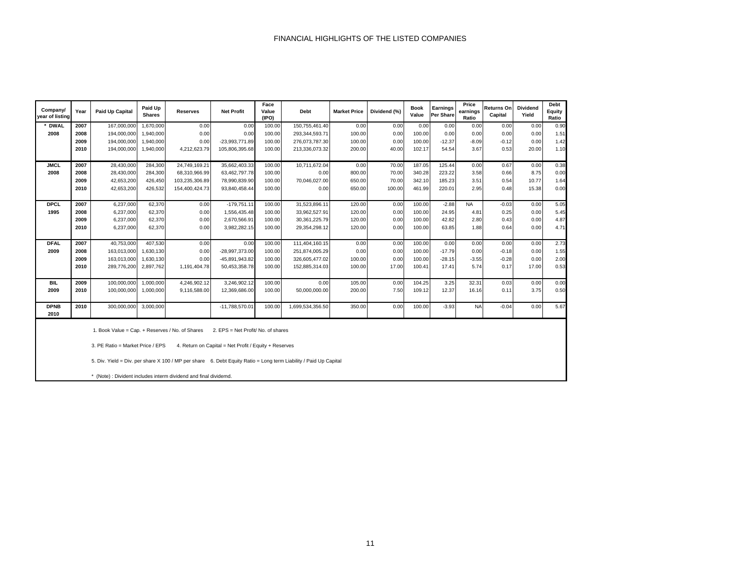| Company/<br>vear of listing | Year                                                                                                                                                                                                                                                                                                   | <b>Paid Up Capital</b>                                           | Paid Up<br><b>Shares</b> | <b>Reserves</b> | <b>Net Profit</b> | Face<br>Value<br>(IPO) | <b>Debt</b>      | <b>Market Price</b> | Dividend (%) | Book<br>Value | Earnings<br><b>Per Share</b> | Price<br>earnings<br>Ratio | Returns On<br>Capital | <b>Dividend</b><br>Yield | Debt<br>Equity<br>Ratio |
|-----------------------------|--------------------------------------------------------------------------------------------------------------------------------------------------------------------------------------------------------------------------------------------------------------------------------------------------------|------------------------------------------------------------------|--------------------------|-----------------|-------------------|------------------------|------------------|---------------------|--------------|---------------|------------------------------|----------------------------|-----------------------|--------------------------|-------------------------|
| * DWAL                      | 2007                                                                                                                                                                                                                                                                                                   | 167,000,000                                                      | 1,670,000                | 0.00            | 0.00              | 100.00                 | 150,755,461.40   | 0.00                | 0.00         | 0.00          | 0.00                         | 0.00                       | 0.00                  | 0.00                     | 0.90                    |
| 2008                        | 2008                                                                                                                                                                                                                                                                                                   | 194,000,000                                                      | 1,940,000                | 0.00            | 0.00              | 100.00                 | 293,344,593.71   | 100.00              | 0.00         | 100.00        | 0.00                         | 0.00                       | 0.00                  | 0.00                     | 1.51                    |
|                             | 2009                                                                                                                                                                                                                                                                                                   | 194,000,000                                                      | 1,940,000                | 0.00            | -23,993,771.89    | 100.00                 | 276,073,787.30   | 100.00              | 0.00         | 100.00        | $-12.37$                     | $-8.09$                    | $-0.12$               | 0.00                     | 1.42                    |
|                             | 2010                                                                                                                                                                                                                                                                                                   | 194,000,000                                                      | 1,940,000                | 4,212,623.79    | 105,806,395.68    | 100.00                 | 213,336,073.32   | 200.00              | 40.00        | 102.17        | 54.54                        | 3.67                       | 0.53                  | 20.00                    | 1.10                    |
| <b>JMCL</b>                 | 2007                                                                                                                                                                                                                                                                                                   | 28,430,000                                                       | 284,300                  | 24,749,169.21   | 35,662,403.33     | 100.00                 | 10,711,672.04    | 0.00                | 70.00        | 187.05        | 125.44                       | 0.00                       | 0.67                  | 0.00                     | 0.38                    |
| 2008                        | 2008                                                                                                                                                                                                                                                                                                   | 28,430,000                                                       | 284,300                  | 68,310,966.99   | 63,462,797.78     | 100.00                 | 0.00             | 800.00              | 70.00        | 340.28        | 223.22                       | 3.58                       | 0.66                  | 8.75                     | 0.00                    |
|                             | 2009                                                                                                                                                                                                                                                                                                   | 42,653,200                                                       | 426,450                  | 103,235,306.89  | 78,990,839.90     | 100.00                 | 70,046,027.00    | 650.00              | 70.00        | 342.10        | 185.23                       | 3.51                       | 0.54                  | 10.77                    | 1.64                    |
|                             | 2010                                                                                                                                                                                                                                                                                                   | 42,653,200                                                       | 426,532                  | 154,400,424.73  | 93,840,458.44     | 100.00                 | 0.00             | 650.00              | 100.00       | 461.99        | 220.01                       | 2.95                       | 0.48                  | 15.38                    | 0.00                    |
| <b>DPCL</b>                 | 2007                                                                                                                                                                                                                                                                                                   | 6,237,000                                                        | 62,370                   | 0.00            | $-179,751.11$     | 100.00                 | 31,523,896.11    | 120.00              | 0.00         | 100.00        | $-2.88$                      | <b>NA</b>                  | $-0.03$               | 0.00                     | 5.05                    |
| 1995                        | 2008                                                                                                                                                                                                                                                                                                   | 6,237,000                                                        | 62,370                   | 0.00            | 1,556,435.48      | 100.00                 | 33,962,527.91    | 120.00              | 0.00         | 100.00        | 24.95                        | 4.81                       | 0.25                  | 0.00                     | 5.45                    |
|                             | 2009                                                                                                                                                                                                                                                                                                   | 6,237,000                                                        | 62,370                   | 0.00            | 2,670,566.91      | 100.00                 | 30, 361, 225. 79 | 120.00              | 0.00         | 100.00        | 42.82                        | 2.80                       | 0.43                  | 0.00                     | 4.87                    |
|                             | 2010                                                                                                                                                                                                                                                                                                   | 6,237,000                                                        | 62,370                   | 0.00            | 3,982,282.15      | 100.00                 | 29,354,298.12    | 120.00              | 0.00         | 100.00        | 63.85                        | 1.88                       | 0.64                  | 0.00                     | 4.71                    |
| <b>DFAL</b>                 | 2007                                                                                                                                                                                                                                                                                                   | 40,753,000                                                       | 407,530                  | 0.00            | 0.00              | 100.00                 | 111,404,160.15   | 0.00                | 0.00         | 100.00        | 0.00                         | 0.00                       | 0.00                  | 0.00                     | 2.73                    |
| 2009                        | 2008                                                                                                                                                                                                                                                                                                   | 163,013,000                                                      | 1,630,130                | 0.00            | -28,997,373.00    | 100.00                 | 251,874,005.29   | 0.00                | 0.00         | 100.00        | $-17.79$                     | 0.00                       | $-0.18$               | 0.00                     | 1.55                    |
|                             | 2009                                                                                                                                                                                                                                                                                                   | 163,013,000                                                      | 1,630,130                | 0.00            | -45,891,943.82    | 100.00                 | 326,605,477.02   | 100.00              | 0.00         | 100.00        | $-28.15$                     | $-3.55$                    | $-0.28$               | 0.00                     | 2.00                    |
|                             | 2010                                                                                                                                                                                                                                                                                                   | 289,776,200                                                      | 2,897,762                | 1,191,404.78    | 50,453,358.78     | 100.00                 | 152,885,314.03   | 100.00              | 17.00        | 100.41        | 17.41                        | 5.74                       | 0.17                  | 17.00                    | 0.53                    |
| <b>BIL</b>                  | 2009                                                                                                                                                                                                                                                                                                   | 100,000,000                                                      | 1,000,000                | 4,246,902.12    | 3,246,902.12      | 100.00                 | 0.00             | 105.00              | 0.00         | 104.25        | 3.25                         | 32.31                      | 0.03                  | 0.00                     | 0.00                    |
| 2009                        | 2010                                                                                                                                                                                                                                                                                                   | 100,000,000                                                      | 1,000,000                | 9,116,588.00    | 12,369,686.00     | 100.00                 | 50,000,000.00    | 200.00              | 7.50         | 109.12        | 12.37                        | 16.16                      | 0.11                  | 3.75                     | 0.50                    |
| <b>DPNB</b><br>2010         | 2010                                                                                                                                                                                                                                                                                                   | 300,000,000                                                      | 3,000,000                |                 | -11,788,570.01    | 100.00                 | 1,699,534,356.50 | 350.00              | 0.00         | 100.00        | $-3.93$                      | <b>NA</b>                  | $-0.04$               | 0.00                     | 5.67                    |
|                             | 1. Book Value = Cap. + Reserves / No. of Shares<br>2. EPS = Net Profit/ No. of shares<br>3. PE Ratio = Market Price / EPS<br>4. Return on Capital = Net Profit / Equity + Reserves<br>5. Div. Yield = Div. per share X 100 / MP per share 6. Debt Equity Ratio = Long term Liability / Paid Up Capital |                                                                  |                          |                 |                   |                        |                  |                     |              |               |                              |                            |                       |                          |                         |
|                             |                                                                                                                                                                                                                                                                                                        | * (Note) : Divident includes interm dividend and final dividemd. |                          |                 |                   |                        |                  |                     |              |               |                              |                            |                       |                          |                         |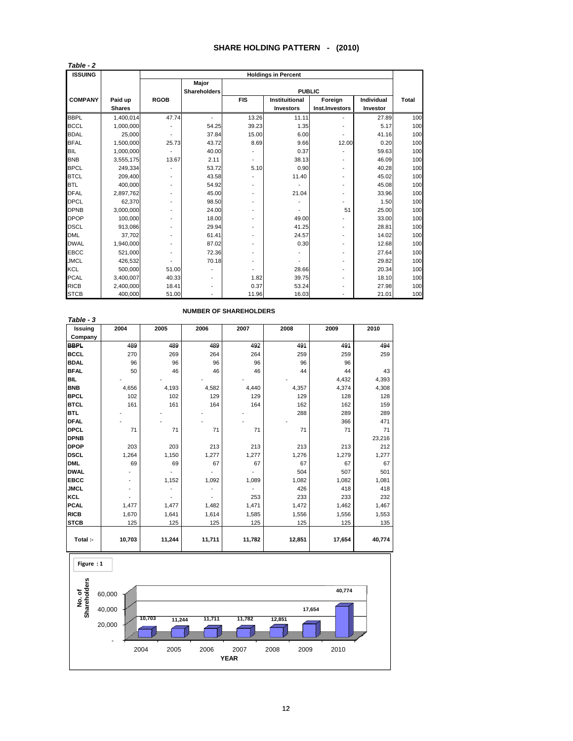#### **SHARE HOLDING PATTERN - (2010)**

| <b>ISSUING</b> |               |             |                     |                          | <b>Holdings in Percent</b> |                          |            |              |
|----------------|---------------|-------------|---------------------|--------------------------|----------------------------|--------------------------|------------|--------------|
|                |               |             | Major               |                          |                            |                          |            |              |
|                |               |             | <b>Shareholders</b> |                          | <b>PUBLIC</b>              |                          |            |              |
| <b>COMPANY</b> | Paid up       | <b>RGOB</b> |                     | <b>FIS</b>               | Instituitional             | Foreign                  | Individual | <b>Total</b> |
|                | <b>Shares</b> |             |                     |                          | <b>Investors</b>           | Inst.Investors           | Investor   |              |
| <b>BBPL</b>    | 1,400,014     | 47.74       |                     | 13.26                    | 11.11                      |                          | 27.89      | 100          |
| <b>BCCL</b>    | 1,000,000     |             | 54.25               | 39.23                    | 1.35                       |                          | 5.17       | 100          |
| <b>BDAL</b>    | 25,000        |             | 37.84               | 15.00                    | 6.00                       |                          | 41.16      | 100          |
| <b>BFAL</b>    | 1,500,000     | 25.73       | 43.72               | 8.69                     | 9.66                       | 12.00                    | 0.20       | 100          |
| <b>BIL</b>     | 1,000,000     |             | 40.00               |                          | 0.37                       |                          | 59.63      | 100          |
| <b>BNB</b>     | 3,555,175     | 13.67       | 2.11                |                          | 38.13                      | $\overline{\phantom{a}}$ | 46.09      | 100          |
| <b>BPCL</b>    | 249,334       |             | 53.72               | 5.10                     | 0.90                       | $\blacksquare$           | 40.28      | 100          |
| <b>BTCL</b>    | 209,400       |             | 43.58               |                          | 11.40                      | $\overline{\phantom{a}}$ | 45.02      | 100          |
| <b>BTL</b>     | 400,000       |             | 54.92               |                          |                            |                          | 45.08      | 100          |
| <b>DFAL</b>    | 2,897,762     |             | 45.00               | $\overline{\phantom{0}}$ | 21.04                      |                          | 33.96      | 100          |
| <b>DPCL</b>    | 62.370        |             | 98.50               |                          |                            |                          | 1.50       | 100          |
| <b>DPNB</b>    | 3.000.000     |             | 24.00               |                          |                            | 51                       | 25.00      | 100          |
| <b>DPOP</b>    | 100,000       |             | 18.00               |                          | 49.00                      |                          | 33.00      | 100          |
| <b>DSCL</b>    | 913.086       |             | 29.94               | $\overline{\phantom{0}}$ | 41.25                      | $\overline{a}$           | 28.81      | 100          |
| <b>DML</b>     | 37,702        |             | 61.41               |                          | 24.57                      |                          | 14.02      | 100          |
| <b>DWAL</b>    | 1,940,000     |             | 87.02               |                          | 0.30                       |                          | 12.68      | 100          |
| <b>EBCC</b>    | 521.000       |             | 72.36               |                          |                            | $\overline{\phantom{0}}$ | 27.64      | 100          |
| <b>JMCL</b>    | 426,532       |             | 70.18               |                          |                            |                          | 29.82      | 100          |
| KCL            | 500,000       | 51.00       |                     |                          | 28.66                      |                          | 20.34      | 100          |
| <b>PCAL</b>    | 3.400.007     | 40.33       |                     | 1.82                     | 39.75                      | $\overline{\phantom{0}}$ | 18.10      | 100          |
| <b>RICB</b>    | 2,400,000     | 18.41       |                     | 0.37                     | 53.24                      |                          | 27.98      | 100          |
| <b>STCB</b>    | 400,000       | 51.00       |                     | 11.96                    | 16.03                      |                          | 21.01      | 100          |

| Issuing     | 2004   | 2005           | 2006   | 2007   | 2008   | 2009   | 2010   |
|-------------|--------|----------------|--------|--------|--------|--------|--------|
| Company     |        |                |        |        |        |        |        |
| <b>BBPL</b> | 489    | 489            | 489    | 492    | 491    | 491    | 494    |
| <b>BCCL</b> | 270    | 269            | 264    | 264    | 259    | 259    | 259    |
| <b>BDAL</b> | 96     | 96             | 96     | 96     | 96     | 96     |        |
| <b>BFAL</b> | 50     | 46             | 46     | 46     | 44     | 44     | 43     |
| <b>BIL</b>  |        |                |        |        |        | 4,432  | 4,393  |
| <b>BNB</b>  | 4,656  | 4,193          | 4,582  | 4,440  | 4,357  | 4,374  | 4,308  |
| <b>BPCL</b> | 102    | 102            | 129    | 129    | 129    | 128    | 128    |
| <b>BTCL</b> | 161    | 161            | 164    | 164    | 162    | 162    | 159    |
| <b>BTL</b>  |        |                |        |        | 288    | 289    | 289    |
| <b>DFAL</b> |        |                |        |        |        | 366    | 471    |
| <b>DPCL</b> | 71     | 71             | 71     | 71     | 71     | 71     | 71     |
| <b>DPNB</b> |        |                |        |        |        |        | 23,216 |
| <b>DPOP</b> | 203    | 203            | 213    | 213    | 213    | 213    | 212    |
| <b>DSCL</b> | 1,264  | 1,150          | 1,277  | 1,277  | 1,276  | 1,279  | 1,277  |
| <b>DML</b>  | 69     | 69             | 67     | 67     | 67     | 67     | 67     |
| <b>DWAL</b> |        |                |        |        | 504    | 507    | 501    |
| <b>EBCC</b> |        | 1,152          | 1,092  | 1,089  | 1,082  | 1,082  | 1,081  |
| <b>JMCL</b> |        |                |        |        | 426    | 418    | 418    |
| <b>KCL</b>  |        | $\overline{a}$ |        | 253    | 233    | 233    | 232    |
| <b>PCAL</b> | 1,477  | 1,477          | 1,482  | 1,471  | 1,472  | 1,462  | 1,467  |
| <b>RICB</b> | 1,670  | 1,641          | 1,614  | 1,585  | 1,556  | 1,556  | 1,553  |
| <b>STCB</b> | 125    | 125            | 125    | 125    | 125    | 125    | 135    |
|             |        |                |        |        |        |        |        |
| Total :-    | 10,703 | 11,244         | 11,711 | 11,782 | 12,851 | 17,654 | 40,774 |



#### **NUMBER OF SHAREHOLDERS**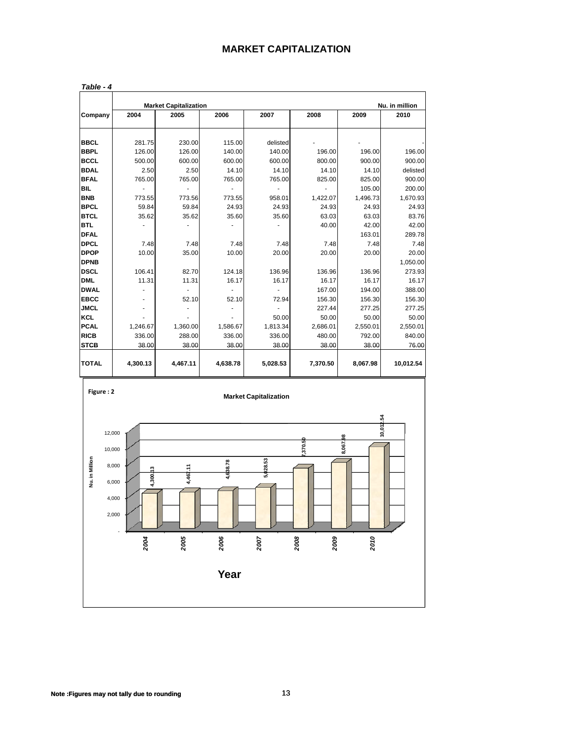# **MARKET CAPITALIZATION**

|              |          | <b>Market Capitalization</b> |          |          |          |          | Nu. in million |
|--------------|----------|------------------------------|----------|----------|----------|----------|----------------|
| Company      | 2004     | 2005                         | 2006     | 2007     | 2008     | 2009     | 2010           |
| <b>BBCL</b>  | 281.75   | 230.00                       | 115.00   | delisted |          |          |                |
| <b>BBPL</b>  | 126.00   | 126.00                       | 140.00   | 140.00   | 196.00   | 196.00   | 196.00         |
| <b>BCCL</b>  | 500.00   | 600.00                       | 600.00   | 600.00   | 800.00   | 900.00   | 900.00         |
| <b>BDAL</b>  | 2.50     | 2.50                         | 14.10    | 14.10    | 14.10    | 14.10    | delisted       |
| <b>BFAL</b>  | 765.00   | 765.00                       | 765.00   | 765.00   | 825.00   | 825.00   | 900.00         |
| <b>BIL</b>   |          |                              |          |          |          | 105.00   | 200.00         |
| <b>BNB</b>   | 773.55   | 773.56                       | 773.55   | 958.01   | 1,422.07 | 1,496.73 | 1,670.93       |
| <b>BPCL</b>  | 59.84    | 59.84                        | 24.93    | 24.93    | 24.93    | 24.93    | 24.93          |
| <b>BTCL</b>  | 35.62    | 35.62                        | 35.60    | 35.60    | 63.03    | 63.03    | 83.76          |
| <b>BTL</b>   |          |                              |          |          | 40.00    | 42.00    | 42.00          |
| <b>DFAL</b>  |          |                              |          |          |          | 163.01   | 289.78         |
| <b>DPCL</b>  | 7.48     | 7.48                         | 7.48     | 7.48     | 7.48     | 7.48     | 7.48           |
| <b>DPOP</b>  | 10.00    | 35.00                        | 10.00    | 20.00    | 20.00    | 20.00    | 20.00          |
| <b>DPNB</b>  |          |                              |          |          |          |          | 1,050.00       |
| <b>DSCL</b>  | 106.41   | 82.70                        | 124.18   | 136.96   | 136.96   | 136.96   | 273.93         |
| <b>DML</b>   | 11.31    | 11.31                        | 16.17    | 16.17    | 16.17    | 16.17    | 16.17          |
| <b>DWAL</b>  |          |                              |          |          | 167.00   | 194.00   | 388.00         |
| <b>EBCC</b>  |          | 52.10                        | 52.10    | 72.94    | 156.30   | 156.30   | 156.30         |
| <b>JMCL</b>  |          |                              |          |          | 227.44   | 277.25   | 277.25         |
| KCL          |          |                              |          | 50.00    | 50.00    | 50.00    | 50.00          |
| <b>PCAL</b>  | 1,246.67 | 1,360.00                     | 1,586.67 | 1,813.34 | 2,686.01 | 2,550.01 | 2,550.01       |
| <b>RICB</b>  | 336.00   | 288.00                       | 336.00   | 336.00   | 480.00   | 792.00   | 840.00         |
| <b>STCB</b>  | 38.00    | 38.00                        | 38.00    | 38.00    | 38.00    | 38.00    | 76.00          |
| <b>TOTAL</b> | 4,300.13 | 4,467.11                     | 4,638.78 | 5,028.53 | 7,370.50 | 8,067.98 | 10,012.54      |

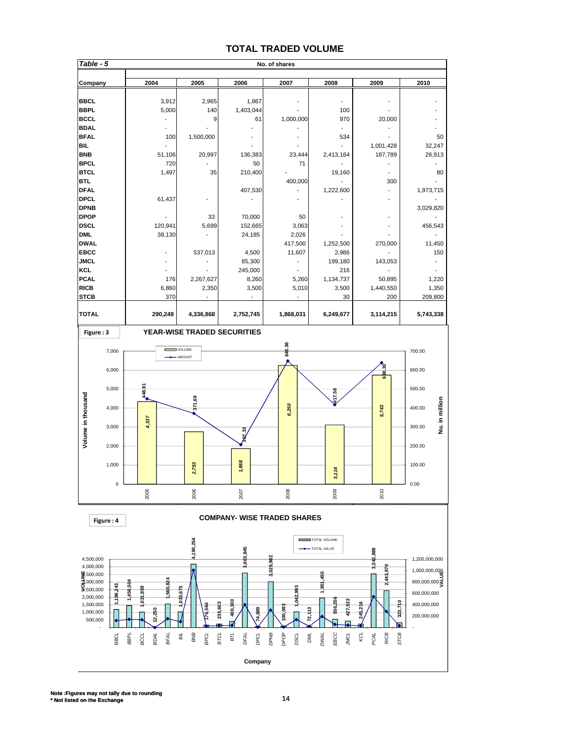### **TOTAL TRADED VOLUME**

| Table - 5                                                                                |                                                    |                             |                                            | No. of shares                                    |                              |                             |                                                            |
|------------------------------------------------------------------------------------------|----------------------------------------------------|-----------------------------|--------------------------------------------|--------------------------------------------------|------------------------------|-----------------------------|------------------------------------------------------------|
| Company                                                                                  | 2004                                               | 2005                        | 2006                                       | 2007                                             | 2008                         | 2009                        | 2010                                                       |
| <b>BBCL</b><br><b>BBPL</b>                                                               | 3,912<br>5,000                                     | 2,965<br>140                | 1,867<br>1,403,044                         |                                                  | 100                          |                             |                                                            |
| <b>BCCL</b><br><b>BDAL</b><br><b>BFAL</b>                                                | 100                                                | 9<br>1,500,000              | 61                                         | 1,000,000                                        | 970<br>534                   | 20,000                      | 50                                                         |
| <b>BIL</b><br><b>BNB</b><br><b>BPCL</b>                                                  | 51,106<br>720                                      | 20,997                      | 136,383<br>50                              | 23,444<br>71                                     | 2,413,164                    | 1,001,428<br>187,789        | 32,247<br>26,913                                           |
| <b>BTCL</b><br><b>BTL</b><br><b>DFAL</b>                                                 | 1,497                                              | 35                          | 210,400<br>407,530                         | 400,000                                          | 19,160<br>1,222,600          | $\overline{a}$<br>300       | 80<br>1,973,715                                            |
| <b>DPCL</b><br><b>DPNB</b><br><b>DPOP</b>                                                | 61,437                                             | 33                          | ÷,<br>70,000                               | 50                                               |                              | $\blacksquare$              | 3,029,820                                                  |
| <b>DSCL</b><br><b>DML</b><br><b>DWAL</b>                                                 | 120,941<br>38,130                                  | 5,699<br>÷,                 | 152,665<br>24,185                          | 3,063<br>2,026<br>417,500                        | 1,252,500                    | 270,000                     | 456,543<br>11,450                                          |
| <b>EBCC</b><br><b>JMCL</b><br><b>KCL</b>                                                 |                                                    | 537,013<br>$\overline{a}$   | 4,500<br>85,300<br>245,000                 | 11,607<br>$\blacksquare$                         | 2,986<br>199,180<br>216      | 143,053                     | 150<br>$\frac{1}{2}$                                       |
| <b>PCAL</b><br><b>RICB</b><br><b>STCB</b>                                                | 176<br>6,860<br>370                                | 2,267,627<br>2,350          | 8,260<br>3,500<br>$\overline{\phantom{a}}$ | 5,260<br>5,010                                   | 1,134,737<br>3,500<br>30     | 50,895<br>1,440,550<br>200  | 1,220<br>1,350<br>209,800                                  |
| <b>TOTAL</b>                                                                             | 290,249                                            | 4,336,868                   | 2,752,745                                  | 1,868,031                                        | 6,249,677                    | 3,114,215                   | 5,743,338                                                  |
| Figure: 3                                                                                |                                                    | YEAR-WISE TRADED SECURITIES |                                            |                                                  |                              |                             |                                                            |
| 7,000<br>6,000                                                                           |                                                    | VOLUME<br>- AMOUNT          |                                            | 648.36                                           |                              | នុ                          | 700.00<br>600.00                                           |
| 5,000                                                                                    | 448.91                                             |                             |                                            |                                                  | 417.58                       | $\frac{8}{6}$               | 500.00                                                     |
| Volume in thousand<br>4,000                                                              | 4,337                                              | 371.69                      |                                            | 6,250                                            |                              | 5,743                       | Nu. in million<br>400.00                                   |
| 3,000<br>2,000                                                                           |                                                    |                             | <b>DAC</b> 33                              |                                                  |                              |                             | 300.00<br>200.00                                           |
| 1,000                                                                                    |                                                    | 2,753                       | 1,868                                      |                                                  | 3,114                        |                             | 100.00                                                     |
|                                                                                          | $\pmb{0}$<br>2005                                  | 2006                        | 2007                                       | 2008                                             | 2009                         | 2010                        | 0.00                                                       |
| Figure: 4                                                                                |                                                    |                             |                                            | <b>COMPANY- WISE TRADED SHARES</b>               |                              |                             |                                                            |
| 4,500,000                                                                                |                                                    | 4,190,254                   | 3,603,845                                  | $-982$                                           | TOTAL VOLUME<br>TOTAL VALUE  | 3,542,888                   | 1,200,000,000                                              |
| 4,000,000<br>$\frac{1}{2}$ , 500,000<br>3,000,000<br>9,500,000<br>2,000,000<br>1,500,000 | ,560,824<br>1,456,504<br>,196,243<br>,031,859      | 1,033,675                   |                                            | 3,029,<br>1,042,993                              | $\frac{5}{4}$<br>1,951       | <b>S</b><br>2,443,<br>PL'   | 1,000,000,000<br>800,000,000<br>600,000,000<br>400,000,000 |
| 1,000,000<br>500,000                                                                     | 2,250                                              | 235,603<br>76,564           | 400,300<br>74,889                          | 100,083                                          | 556,256<br>427,533<br>72,113 | 245,216<br>323,             | 200,000,000                                                |
|                                                                                          | BFAL<br>BBCL<br><b>BBPL</b><br>BCCL<br><b>ROAL</b> | BNB<br>Βĭ.<br>BPCL<br>BTCL  | BTL<br>DPCL<br>DFAL<br>Company             | <b>DPNB</b><br>DPOP<br><b>DML</b><br><b>DSCL</b> | EBCC<br>DWAL<br><b>JWCL</b>  | STCB<br>RICB<br>KCL<br>PCAL |                                                            |
|                                                                                          |                                                    |                             |                                            |                                                  |                              |                             |                                                            |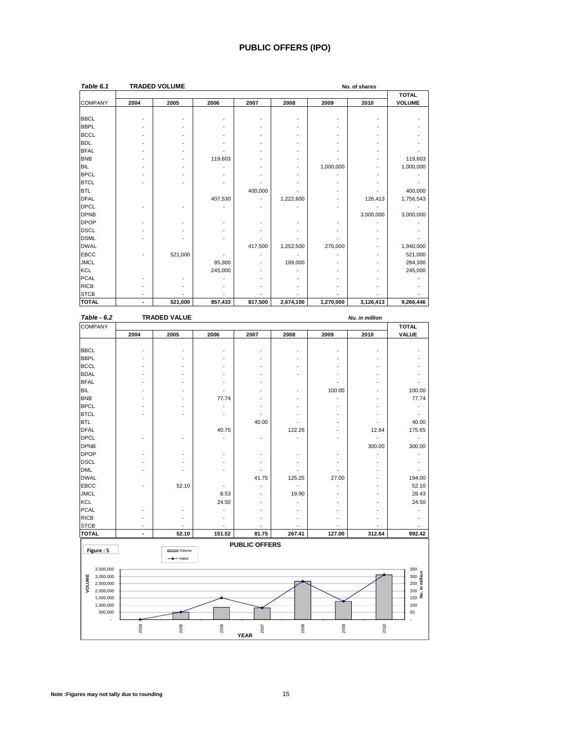# **PUBLIC OFFERS (IPO)**

| Table 6.1      | <b>TRADED VOLUME</b><br>No. of shares |         |         |         |           |                          |           |               |  |
|----------------|---------------------------------------|---------|---------|---------|-----------|--------------------------|-----------|---------------|--|
|                |                                       |         |         |         |           |                          |           | <b>TOTAL</b>  |  |
| <b>COMPANY</b> | 2004                                  | 2005    | 2006    | 2007    | 2008      | 2009                     | 2010      | <b>VOLUME</b> |  |
|                |                                       |         |         |         |           |                          |           |               |  |
| <b>BBCL</b>    |                                       |         |         |         |           |                          |           |               |  |
| <b>BBPL</b>    |                                       |         |         |         |           |                          |           |               |  |
| <b>BCCL</b>    |                                       |         |         |         |           | ٠                        |           |               |  |
| <b>BDL</b>     |                                       |         |         |         |           | ٠                        |           |               |  |
| <b>BFAL</b>    |                                       |         |         |         |           |                          |           |               |  |
| <b>BNB</b>     |                                       |         | 119,603 |         |           |                          |           | 119,603       |  |
| <b>BIL</b>     |                                       |         |         |         |           | 1,000,000                |           | 1,000,000     |  |
| <b>BPCL</b>    |                                       |         |         |         |           |                          |           |               |  |
| <b>BTCL</b>    |                                       |         |         |         |           |                          |           |               |  |
| <b>BTL</b>     |                                       |         |         | 400,000 |           | ٠                        |           | 400,000       |  |
| <b>DFAL</b>    |                                       |         | 407,530 |         | 1,222,600 | $\overline{\phantom{a}}$ | 126,413   | 1,756,543     |  |
| <b>DPCL</b>    |                                       |         |         |         |           | ٠                        |           |               |  |
| <b>DPNB</b>    |                                       |         |         |         |           |                          | 3,000,000 | 3,000,000     |  |
| <b>DPOP</b>    |                                       |         |         |         |           | $\overline{\phantom{a}}$ |           |               |  |
| <b>DSCL</b>    |                                       |         |         |         |           | $\overline{\phantom{0}}$ |           |               |  |
| <b>DSML</b>    |                                       |         |         |         |           |                          |           |               |  |
| <b>DWAL</b>    |                                       |         |         | 417,500 | 1,252,500 | 270,000                  | ٠         | 1,940,000     |  |
| <b>EBCC</b>    |                                       | 521,000 |         |         |           |                          |           | 521,000       |  |
| <b>JMCL</b>    |                                       |         | 85,300  |         | 199,000   | ٠                        |           | 284,300       |  |
| <b>KCL</b>     |                                       |         | 245,000 |         |           |                          |           | 245,000       |  |
| <b>PCAL</b>    |                                       |         |         |         |           | ٠                        |           |               |  |
| <b>RICB</b>    |                                       |         |         |         |           |                          |           |               |  |
| <b>STCB</b>    | ٠                                     |         |         |         |           |                          |           |               |  |
| <b>TOTAL</b>   |                                       | 521,000 | 857,433 | 817,500 | 2,674,100 | 1,270,000                | 3,126,413 | 9,266,446     |  |

| Table - 6.2          |                          | <b>TRADED VALUE</b> |        |                      |               |        | Nu. in million |                                                        |
|----------------------|--------------------------|---------------------|--------|----------------------|---------------|--------|----------------|--------------------------------------------------------|
| <b>COMPANY</b>       |                          |                     |        |                      |               |        |                | <b>TOTAL</b>                                           |
|                      | 2004                     | 2005                | 2006   | 2007                 | 2008          | 2009   | 2010           | <b>VALUE</b>                                           |
| <b>BBCL</b>          |                          | ä,                  | L,     |                      | ÷,            | ä,     |                |                                                        |
| <b>BBPL</b>          |                          |                     |        |                      |               |        |                |                                                        |
| <b>BCCL</b>          |                          |                     |        |                      |               |        |                |                                                        |
| <b>BDAL</b>          |                          |                     |        |                      |               |        |                |                                                        |
| <b>BFAL</b>          |                          |                     |        |                      |               |        |                |                                                        |
| <b>BIL</b>           |                          |                     |        |                      |               | 100.00 |                | 100.00                                                 |
| <b>BNB</b>           |                          |                     | 77.74  |                      |               |        |                | 77.74                                                  |
| <b>BPCL</b>          |                          |                     |        |                      | ٠             |        | ٠              |                                                        |
| <b>BTCL</b>          |                          |                     |        |                      |               |        |                |                                                        |
| <b>BTL</b>           |                          |                     |        | 40.00                |               |        |                | 40.00                                                  |
| <b>DFAL</b>          |                          |                     | 40.75  |                      | 122.26        |        | 12.64          | 175.65                                                 |
| <b>DPCL</b>          |                          |                     |        |                      | ä,            |        |                | $\overline{\phantom{a}}$                               |
| <b>DPNB</b>          |                          |                     |        |                      |               |        | 300.00         | 300.00                                                 |
| <b>DPOP</b>          |                          |                     |        |                      | ÷,            |        |                |                                                        |
| <b>DSCL</b>          |                          |                     |        |                      | ٠             |        |                |                                                        |
| <b>DML</b>           |                          |                     |        |                      |               |        |                |                                                        |
| <b>DWAL</b>          |                          |                     |        | 41.75                | 125.25        | 27.00  | ٠              | 194.00                                                 |
| <b>EBCC</b>          |                          | 52.10               |        |                      | $\frac{1}{2}$ |        |                | 52.10                                                  |
| <b>JMCL</b>          |                          |                     | 8.53   |                      | 19.90         |        |                | 28.43                                                  |
| <b>KCL</b>           |                          |                     | 24.50  |                      |               |        |                | 24.50                                                  |
| <b>PCAL</b>          |                          |                     |        |                      |               |        |                |                                                        |
| <b>RICB</b>          |                          |                     |        |                      |               |        |                |                                                        |
| <b>STCB</b>          |                          |                     |        |                      |               |        |                |                                                        |
| <b>TOTAL</b>         | $\overline{\phantom{a}}$ | 52.10               | 151.52 | 81.75                | 267.41        | 127.00 | 312.64         | 992.42                                                 |
|                      |                          |                     |        | <b>PUBLIC OFFERS</b> |               |        |                |                                                        |
| Figure: 5            |                          | Volume              |        |                      |               |        |                |                                                        |
|                      |                          | $\rightarrow$ Value |        |                      |               |        |                |                                                        |
| 3,500,000            |                          |                     |        |                      |               |        |                | 350                                                    |
| 3,000,000            |                          |                     |        |                      |               |        |                | $\begin{array}{r}\n 300 \\ \hline\n 250\n \end{array}$ |
| VOLUME<br>2,500,000  |                          |                     |        |                      |               |        |                |                                                        |
| 2,000,000            |                          |                     |        |                      |               |        |                | ku. in<br>200                                          |
| 1,500,000            |                          |                     |        |                      |               |        |                | 150                                                    |
| 1,000,000<br>500,000 |                          |                     |        |                      |               |        |                | 100<br>50                                              |
|                      | 2004                     | 2005                | 2006   | 2007                 | 2008          | 2009   | 2010           |                                                        |
|                      |                          |                     |        | <b>YEAR</b>          |               |        |                |                                                        |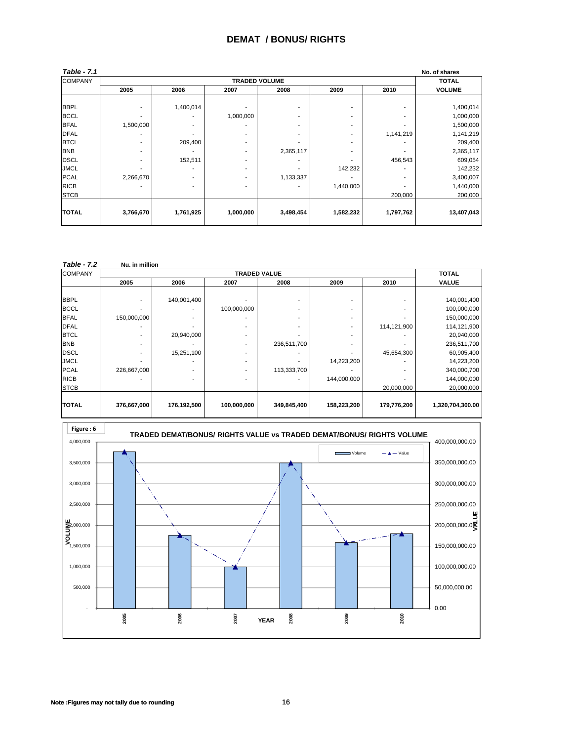#### **DEMAT / BONUS/ RIGHTS**

| Table - 7.1    |                          |                      |           |                          |           |           | No. of shares |  |  |  |  |  |  |
|----------------|--------------------------|----------------------|-----------|--------------------------|-----------|-----------|---------------|--|--|--|--|--|--|
| <b>COMPANY</b> |                          | <b>TRADED VOLUME</b> |           |                          |           |           |               |  |  |  |  |  |  |
|                | 2005                     | 2006                 | 2007      | 2008                     | 2009      | 2010      | <b>VOLUME</b> |  |  |  |  |  |  |
|                |                          |                      |           |                          |           |           |               |  |  |  |  |  |  |
| <b>BBPL</b>    | ٠                        | 1,400,014            |           | $\overline{\phantom{a}}$ |           |           | 1,400,014     |  |  |  |  |  |  |
| <b>BCCL</b>    | ٠                        |                      | 1,000,000 |                          |           |           | 1,000,000     |  |  |  |  |  |  |
| <b>BFAL</b>    | 1,500,000                |                      |           | $\overline{\phantom{a}}$ |           |           | 1,500,000     |  |  |  |  |  |  |
| <b>DFAL</b>    | ۰                        |                      |           | $\overline{\phantom{a}}$ |           | 1,141,219 | 1,141,219     |  |  |  |  |  |  |
| <b>BTCL</b>    | ٠                        | 209,400              | ۰         | $\overline{\phantom{a}}$ | ۰         |           | 209,400       |  |  |  |  |  |  |
| <b>BNB</b>     | $\overline{\phantom{a}}$ |                      | ۰.        | 2,365,117                | ۰.        |           | 2,365,117     |  |  |  |  |  |  |
| <b>DSCL</b>    | $\overline{\phantom{a}}$ | 152,511              |           |                          |           | 456,543   | 609,054       |  |  |  |  |  |  |
| <b>JMCL</b>    | ٠                        |                      |           | $\overline{\phantom{a}}$ | 142,232   |           | 142,232       |  |  |  |  |  |  |
| <b>PCAL</b>    | 2,266,670                |                      | ۰         | 1,133,337                |           |           | 3,400,007     |  |  |  |  |  |  |
| <b>RICB</b>    |                          |                      |           |                          | 1,440,000 |           | 1,440,000     |  |  |  |  |  |  |
| <b>STCB</b>    |                          |                      |           |                          |           | 200,000   | 200,000       |  |  |  |  |  |  |
| <b>TOTAL</b>   | 3,766,670                | 1,761,925            | 1,000,000 | 3,498,454                | 1,582,232 | 1,797,762 | 13,407,043    |  |  |  |  |  |  |
|                |                          |                      |           |                          |           |           |               |  |  |  |  |  |  |

| <b>Table - 7.2</b> | Nu. in million |             |             |                          |             |             |                  |
|--------------------|----------------|-------------|-------------|--------------------------|-------------|-------------|------------------|
| <b>COMPANY</b>     |                |             |             | <b>TRADED VALUE</b>      |             |             | <b>TOTAL</b>     |
|                    | 2005           | 2006        | 2007        | 2008                     | 2009        | 2010        | <b>VALUE</b>     |
|                    |                |             |             |                          |             |             |                  |
| <b>BBPL</b>        |                | 140,001,400 |             |                          |             |             | 140,001,400      |
| <b>BCCL</b>        | ۰              |             | 100,000,000 |                          |             |             | 100,000,000      |
| <b>BFAL</b>        | 150,000,000    |             |             | $\overline{\phantom{a}}$ |             |             | 150,000,000      |
| <b>DFAL</b>        |                |             |             |                          |             | 114,121,900 | 114,121,900      |
| <b>BTCL</b>        |                | 20,940,000  |             |                          |             |             | 20,940,000       |
| <b>BNB</b>         |                |             |             | 236,511,700              |             |             | 236,511,700      |
| <b>DSCL</b>        |                | 15,251,100  |             |                          |             | 45,654,300  | 60,905,400       |
| <b>JMCL</b>        |                |             |             |                          | 14,223,200  |             | 14,223,200       |
| <b>PCAL</b>        | 226,667,000    |             |             | 113,333,700              |             |             | 340,000,700      |
| <b>RICB</b>        |                |             |             |                          | 144,000,000 |             | 144,000,000      |
| <b>STCB</b>        |                |             |             |                          |             | 20,000,000  | 20,000,000       |
|                    |                |             |             |                          |             |             |                  |
| <b>TOTAL</b>       | 376,667,000    | 176,192,500 | 100,000,000 | 349,845,400              | 158,223,200 | 179,776,200 | 1,320,704,300.00 |



**Note :Figures may not tally due to rounding** 16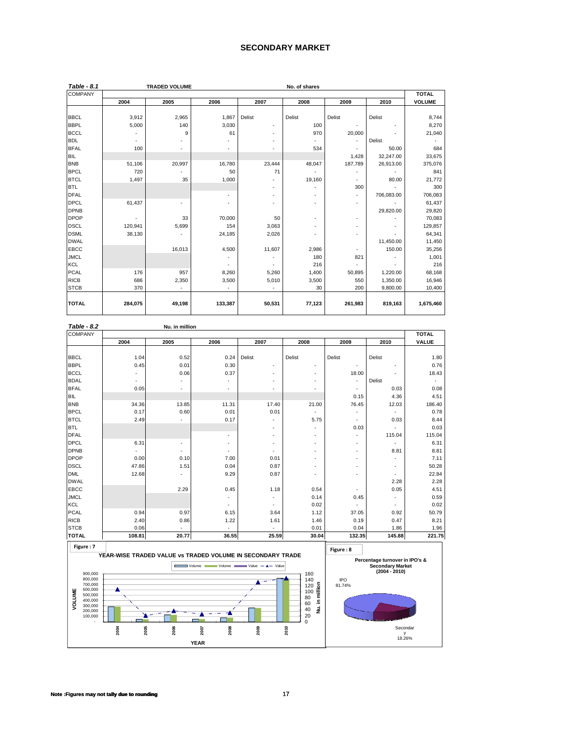#### **SECONDARY MARKET**

| Table - 8.1    |         | <b>TRADED VOLUME</b> |                          | No. of shares |        |         |            |               |  |
|----------------|---------|----------------------|--------------------------|---------------|--------|---------|------------|---------------|--|
| <b>COMPANY</b> |         |                      |                          |               |        |         |            | <b>TOTAL</b>  |  |
|                | 2004    | 2005                 | 2006                     | 2007          | 2008   | 2009    | 2010       | <b>VOLUME</b> |  |
|                |         |                      |                          |               |        |         |            |               |  |
| <b>BBCL</b>    | 3,912   | 2,965                | 1,867                    | Delist        | Delist | Delist  | Delist     | 8,744         |  |
| <b>BBPL</b>    | 5,000   | 140                  | 3,030                    | ٠             | 100    | ٠       |            | 8,270         |  |
| <b>BCCL</b>    |         | 9                    | 61                       | ٠             | 970    | 20,000  |            | 21,040        |  |
| <b>BDL</b>     |         |                      |                          |               | ٠      | ä,      | Delist     |               |  |
| <b>BFAL</b>    | 100     |                      |                          |               | 534    |         | 50.00      | 684           |  |
| <b>BIL</b>     |         |                      |                          |               |        | 1,428   | 32,247.00  | 33,675        |  |
| <b>BNB</b>     | 51,106  | 20,997               | 16,780                   | 23,444        | 48,047 | 187,789 | 26,913.00  | 375,076       |  |
| <b>BPCL</b>    | 720     |                      | 50                       | 71            |        | ٠       |            | 841           |  |
| <b>BTCL</b>    | 1,497   | 35                   | 1,000                    |               | 19,160 | ٠       | 80.00      | 21,772        |  |
| <b>BTL</b>     |         |                      |                          | ٠             |        | 300     |            | 300           |  |
| <b>DFAL</b>    |         |                      |                          |               |        | ٠       | 706,083.00 | 706,083       |  |
| <b>DPCL</b>    | 61,437  | ٠                    |                          | ٠             | ٠      | ä,      |            | 61,437        |  |
| <b>DPNB</b>    |         |                      |                          |               |        |         | 29,820.00  | 29,820        |  |
| <b>DPOP</b>    |         | 33                   | 70,000                   | 50            | ٠      | ٠       |            | 70,083        |  |
| <b>DSCL</b>    | 120,941 | 5,699                | 154                      | 3,063         |        | ä,      |            | 129,857       |  |
| <b>DSML</b>    | 38,130  |                      | 24,185                   | 2,026         |        | ٠       |            | 64,341        |  |
| <b>DWAL</b>    |         |                      |                          |               |        |         | 11,450.00  | 11,450        |  |
| <b>EBCC</b>    |         | 16,013               | 4,500                    | 11,607        | 2,986  | ٠       | 150.00     | 35,256        |  |
| <b>JMCL</b>    |         |                      |                          |               | 180    | 821     |            | 1,001         |  |
| <b>KCL</b>     |         |                      | $\overline{\phantom{a}}$ |               | 216    |         |            | 216           |  |
| <b>PCAL</b>    | 176     | 957                  | 8,260                    | 5,260         | 1,400  | 50,895  | 1,220.00   | 68,168        |  |
| <b>RICB</b>    | 686     | 2,350                | 3,500                    | 5,010         | 3,500  | 550     | 1,350.00   | 16,946        |  |
| <b>STCB</b>    | 370     |                      |                          |               | 30     | 200     | 9,800.00   | 10,400        |  |
|                |         |                      |                          |               |        |         |            |               |  |
| <b>TOTAL</b>   | 284,075 | 49,198               | 133,387                  | 50,531        | 77,123 | 261,983 | 819,163    | 1,675,460     |  |

| <b>Table - 8.2</b>     |        | Nu. in million                                             |       |                               |                          |            |                                                           |              |
|------------------------|--------|------------------------------------------------------------|-------|-------------------------------|--------------------------|------------|-----------------------------------------------------------|--------------|
| <b>COMPANY</b>         |        |                                                            |       |                               |                          |            |                                                           | <b>TOTAL</b> |
|                        | 2004   | 2005                                                       | 2006  | 2007                          | 2008                     | 2009       | 2010                                                      | VALUE        |
|                        |        |                                                            |       |                               |                          |            |                                                           |              |
| <b>BBCL</b>            | 1.04   | 0.52                                                       | 0.24  | Delist                        | Delist                   | Delist     | Delist                                                    | 1.80         |
| <b>BBPL</b>            | 0.45   | 0.01                                                       | 0.30  | ä,                            | $\overline{\phantom{a}}$ |            |                                                           | 0.76         |
| <b>BCCL</b>            |        | 0.06                                                       | 0.37  | ٠                             | ٠                        | 18.00      |                                                           | 18.43        |
| <b>BDAL</b>            | ٠      |                                                            |       | ٠                             |                          | ä,         | Delist                                                    |              |
| <b>BFAL</b>            | 0.05   |                                                            | ٠     | ٠                             |                          | ٠          | 0.03                                                      | 0.08         |
| <b>BIL</b>             |        |                                                            |       |                               |                          | 0.15       | 4.36                                                      | 4.51         |
| <b>BNB</b>             | 34.36  | 13.85                                                      | 11.31 | 17.40                         | 21.00                    | 76.45      | 12.03                                                     | 186.40       |
| <b>BPCL</b>            | 0.17   | 0.60                                                       | 0.01  | 0.01                          | ٠                        |            | ٠                                                         | 0.78         |
| <b>BTCL</b>            | 2.49   |                                                            | 0.17  |                               | 5.75                     |            | 0.03                                                      | 8.44         |
| <b>BTL</b>             |        |                                                            |       |                               |                          | 0.03       |                                                           | 0.03         |
| <b>DFAL</b>            |        |                                                            | ä,    |                               |                          | ٠          | 115.04                                                    | 115.04       |
| <b>DPCL</b>            | 6.31   |                                                            | ٠     | ۰                             | $\overline{\phantom{a}}$ | ٠          | ÷.                                                        | 6.31         |
| <b>DPNB</b>            |        |                                                            | ٠     | ٠                             |                          | ٠          | 8.81                                                      | 8.81         |
| <b>DPOP</b>            | 0.00   | 0.10                                                       | 7.00  | 0.01                          |                          | ٠          | ٠                                                         | 7.11         |
| <b>DSCL</b>            | 47.86  | 1.51                                                       | 0.04  | 0.87                          | $\overline{\phantom{a}}$ | ٠          | $\overline{a}$                                            | 50.28        |
| <b>DML</b>             | 12.68  |                                                            | 9.29  | 0.87                          |                          | ٠          | $\overline{a}$                                            | 22.84        |
| <b>DWAL</b>            |        |                                                            |       |                               |                          |            | 2.28                                                      | 2.28         |
| <b>EBCC</b>            |        | 2.29                                                       | 0.45  | 1.18                          | 0.54                     | ٠          | 0.05                                                      | 4.51         |
| <b>JMCL</b>            |        |                                                            | ٠     | ä,                            | 0.14                     | 0.45       | ٠                                                         | 0.59         |
| KCL                    |        |                                                            |       |                               | 0.02                     |            |                                                           | 0.02         |
| <b>PCAL</b>            | 0.94   | 0.97                                                       | 6.15  | 3.64                          | 1.12                     | 37.05      | 0.92                                                      | 50.79        |
| <b>RICB</b>            | 2.40   | 0.86                                                       | 1.22  | 1.61                          | 1.46                     | 0.19       | 0.47                                                      | 8.21         |
| <b>STCB</b>            | 0.06   |                                                            | ٠     | ٠                             | 0.01                     | 0.04       | 1.86                                                      | 1.96         |
| <b>TOTAL</b>           | 108.81 | 20.77                                                      | 36.55 | 25.59                         | 30.04                    | 132.35     | 145.88                                                    | 221.75       |
| Figure: 7              |        |                                                            |       |                               |                          | Figure: 8  |                                                           |              |
|                        |        | YEAR-WISE TRADED VALUE VS TRADED VOLUME IN SECONDARY TRADE |       |                               |                          |            |                                                           |              |
|                        |        |                                                            |       | Volume Volume Value - A Value |                          |            | Percentage turnover in IPO's &<br><b>Secondary Market</b> |              |
| 900,000                |        |                                                            |       |                               | 160                      |            | $(2004 - 2010)$                                           |              |
| 800,000                |        |                                                            |       |                               | 140                      | <b>IPO</b> |                                                           |              |
| 700,000<br>600,000<br> |        |                                                            |       |                               | $120\frac{5}{9}$         | 81.74%     |                                                           |              |

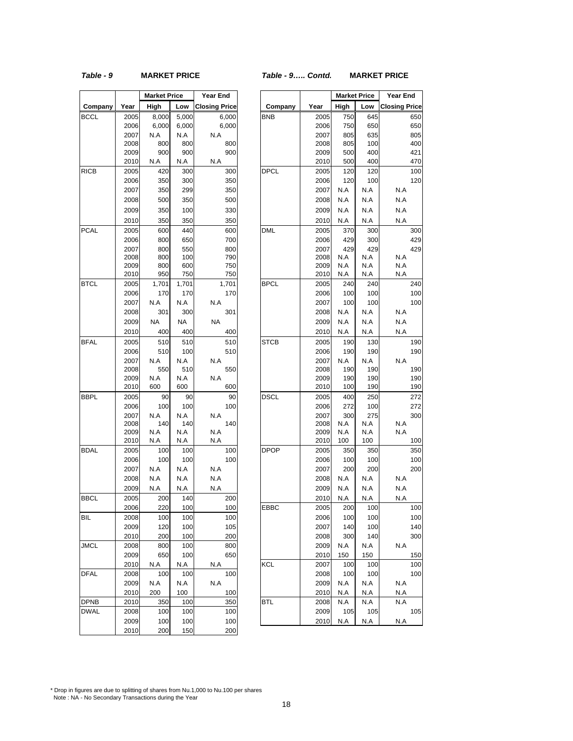#### *Table - 9* **MARKET PRICE** *Table - 9….. Contd.* **MARKET PRICE**

|             |              | <b>Market Price</b> |            | <b>Year End</b>      |             |              |            | <b>Market Price</b> | Year E  |
|-------------|--------------|---------------------|------------|----------------------|-------------|--------------|------------|---------------------|---------|
| Company     | Year         | High                | Low        | <b>Closing Price</b> | Company     | Year         | High       | Low                 | Closing |
| BCCL        | 2005         | 8,000               | 5,000      | 6,000                | <b>BNB</b>  | 2005         | 750        | 645                 |         |
|             | 2006         | 6,000               | 6,000      | 6,000                |             | 2006         | 750        | 650                 |         |
|             | 2007         | N.A                 | N.A        | N.A                  |             | 2007         | 805        | 635                 |         |
|             | 2008         | 800                 | 800        | 800                  |             | 2008         | 805        | 100                 |         |
|             | 2009         | 900                 | 900        | 900                  |             | 2009         | 500        | 400                 |         |
|             | 2010         | N.A                 | N.A        | N.A                  |             | 2010         | 500        | 400                 |         |
| <b>RICB</b> | 2005         | 420                 | 300        | 300                  | DPCL        | 2005         | 120        | 120                 |         |
|             | 2006         | 350                 | 300        | 350                  |             | 2006         | 120        | 100                 |         |
|             | 2007         | 350                 | 299        | 350                  |             | 2007         | N.A        | N.A                 | N.A     |
|             | 2008         | 500                 | 350        | 500                  |             | 2008         | N.A        | N.A                 | N.A     |
|             | 2009         | 350                 | 100        | 330                  |             | 2009         | N.A        | N.A                 | N.A     |
|             | 2010         | 350                 | 350        | 350                  |             | 2010         | N.A        | N.A                 | N.A     |
| <b>PCAL</b> | 2005         | 600                 | 440        | 600                  | DML         | 2005         | 370        | 300                 |         |
|             | 2006         | 800                 | 650        | 700                  |             | 2006         | 429        | 300                 |         |
|             | 2007         | 800                 | 550        | 800                  |             | 2007         | 429        | 429                 |         |
|             | 2008         | 800                 | 100        | 790                  |             | 2008         | N.A        | N.A                 | N.A     |
|             | 2009         | 800                 | 600        | 750                  |             | 2009         | N.A        | N.A                 | N.A     |
|             | 2010         | 950                 | 750        | 750                  |             | 2010         | N.A        | N.A                 | N.A     |
| <b>BTCL</b> | 2005         | 1,701               | 1,701      | 1,701                | <b>BPCL</b> | 2005         | 240        | 240                 |         |
|             | 2006         | 170                 | 170        | 170                  |             | 2006         | 100        | 100                 |         |
|             | 2007         | N.A                 | N.A        | N.A                  |             | 2007         | 100        | 100                 |         |
|             | 2008         | 301                 | 300        | 301                  |             | 2008         | N.A        | N.A                 | N.A     |
|             | 2009         | NA                  | NA         | NA                   |             | 2009         | N.A        | N.A                 | N.A     |
|             | 2010         | 400                 | 400        | 400                  |             | 2010         | N.A        | N.A                 | N.A     |
| <b>BFAL</b> | 2005         | 510                 | 510        | 510                  | STCB        | 2005         | 190        | 130                 |         |
|             | 2006         | 510                 | 100        | 510                  |             | 2006         | 190        | 190                 |         |
|             | 2007         | N.A                 | N.A        | N.A                  |             | 2007         | N.A        | N.A                 | N.A     |
|             | 2008         | 550                 | 510        | 550                  |             | 2008         | 190        | 190                 |         |
|             | 2009<br>2010 | N.A<br>600          | N.A<br>600 | N.A<br>600           |             | 2009<br>2010 | 190<br>100 | 190<br>190          |         |
| <b>BBPL</b> | 2005         | 90                  | 90         | 90                   | DSCL        | 2005         | 400        |                     |         |
|             | 2006         | 100                 | 100        | 100                  |             | 2006         | 272        | 250<br>100          |         |
|             | 2007         | N.A                 | N.A        | N.A                  |             | 2007         | 300        | 275                 |         |
|             | 2008         | 140                 | 140        | 140                  |             | 2008         | N.A        | N.A                 | N.A     |
|             | 2009         | N.A                 | N.A        | N.A                  |             | 2009         | N.A        | N.A                 | N.A     |
|             | 2010         | N.A                 | N.A        | N.A                  |             | 2010         | 100        | 100                 |         |
| <b>BDAL</b> | 2005         | 100                 | 100        | 100                  | <b>DPOP</b> | 2005         | 350        | 350                 |         |
|             | 2006         | 100                 | 100        | 100                  |             | 2006         | 100        | 100                 |         |
|             | 2007         | N.A                 | N.A        | N.A                  |             | 2007         | 200        | 200                 |         |
|             | 2008         | N.A                 | N.A        | N.A                  |             | 2008         | N.A        | N.A                 | N.A     |
|             | 2009         | N.A                 | N.A        | N.A                  |             | 2009         | N.A        | N.A                 | N.A     |
| <b>BBCL</b> | 2005         | 200                 | 140        | 200                  |             | 2010         | N.A        | N.A                 | N.A     |
|             | 2006         | 220                 | 100        | 100                  | EBBC        | 2005         | 200        | 100                 |         |
| BIL         | 2008         | 100                 | 100        | 100                  |             | 2006         | 100        | 100                 |         |
|             | 2009         | 120                 | 100        | 105                  |             | 2007         | 140        | 100                 |         |
|             | 2010         | 200                 | 100        | 200                  |             | 2008         | 300        | 140                 |         |
| <b>JMCL</b> | 2008         | 800                 | 100        | 800                  |             | 2009         | N.A        | N.A                 | N.A     |
|             | 2009         | 650                 | 100        | 650                  |             | 2010         | 150        | 150                 |         |
|             | 2010         | N.A                 | N.A        | N.A                  | KCL         | 2007         | 100        | 100                 |         |
| <b>DFAL</b> | 2008         | 100                 | 100        | 100                  |             | 2008         | 100        | 100                 |         |
|             | 2009         | N.A                 | N.A        | N.A                  |             | 2009         | N.A        | N.A                 | N.A     |
|             | 2010         | 200                 | 100        | 100                  |             | 2010         | N.A        | N.A                 | N.A     |
| <b>DPNB</b> | 2010         | 350                 | 100        | 350                  | BTL         | 2008         | N.A        | N.A                 | N.A     |
| <b>DWAL</b> | 2008         | 100                 | 100        | 100                  |             | 2009         | 105        | 105                 |         |
|             | 2009         | 100                 | 100        | 100                  |             | 2010         | N.A        | N.A                 | N.A     |
|             | 2010         | 200                 | 150        | 200                  |             |              |            |                     |         |

|             |              | <b>Market Price</b> |            | Year End             |             |              | <b>Market Price</b> |            | Year End             |            |
|-------------|--------------|---------------------|------------|----------------------|-------------|--------------|---------------------|------------|----------------------|------------|
| Company     | Year         | High                | Low        | <b>Closing Price</b> | Company     | Year         | High                | Low        | <b>Closing Price</b> |            |
| BCCL        | 2005         | 8,000               | 5,000      | 6,000                | <b>BNB</b>  | 2005         | 750                 | 645        |                      | 650        |
|             | 2006         | 6,000               | 6,000      | 6,000                |             | 2006         | 750                 | 650        |                      | 650        |
|             | 2007         | N.A                 | N.A        | N.A                  |             | 2007         | 805                 | 635        |                      | 805        |
|             | 2008         | 800                 | 800        | 800                  |             | 2008         | 805                 | 100        |                      | 400        |
|             | 2009         | 900                 | 900        | 900                  |             | 2009         | 500                 | 400        |                      | 421        |
|             | 2010         | N.A                 | N.A        | $\sf N.A$            |             | 2010         | 500                 | 400        |                      | 470        |
| RICB        | 2005         | 420                 | 300        | 300                  | <b>DPCL</b> | 2005         | 120                 | 120        |                      | 100        |
|             | 2006         | 350                 | 300        | 350                  |             | 2006         | 120                 | 100        |                      | 120        |
|             | 2007         | 350                 | 299        | 350                  |             | 2007         | N.A                 | N.A        | N.A                  |            |
|             | 2008         | 500                 | 350        | 500                  |             | 2008         | N.A                 | N.A        | N.A                  |            |
|             | 2009         | 350                 | 100        | 330                  |             | 2009         | N.A                 | N.A        | N.A                  |            |
|             | 2010         | 350                 | 350        | 350                  |             | 2010         | N.A                 | N.A        | N.A                  |            |
| PCAL        | 2005         | 600                 | 440        | 600                  | <b>DML</b>  | 2005         | 370                 | 300        |                      | 300        |
|             | 2006         | 800                 | 650        | 700                  |             | 2006         | 429                 | 300        |                      | 429        |
|             | 2007         | 800                 | 550        | 800                  |             | 2007         | 429                 | 429        |                      | 429        |
|             | 2008<br>2009 | 800<br>800          | 100        | 790<br>750           |             | 2008<br>2009 | N.A<br>N.A          | N.A<br>N.A | N.A<br>N.A           |            |
|             | 2010         | 950                 | 600<br>750 | 750                  |             | 2010         | N.A                 | N.A        | N.A                  |            |
| <b>BTCL</b> | 2005         | 1,701               | 1,701      | 1,701                | <b>BPCL</b> | 2005         | 240                 | 240        |                      | 240        |
|             | 2006         | 170                 | 170        | 170                  |             | 2006         | 100                 | 100        |                      | 100        |
|             | 2007         | N.A                 | N.A        | N.A                  |             | 2007         | 100                 | 100        |                      | 100        |
|             | 2008         | 301                 | 300        | 301                  |             | 2008         | N.A                 | N.A        | N.A                  |            |
|             | 2009         | <b>NA</b>           | <b>NA</b>  | <b>NA</b>            |             | 2009         | N.A                 | N.A        | N.A                  |            |
|             | 2010         | 400                 | 400        | 400                  |             | 2010         | N.A                 | N.A        | N.A                  |            |
| <b>BFAL</b> | 2005         | 510                 | 510        | 510                  | <b>STCB</b> | 2005         | 190                 | 130        |                      | 190        |
|             | 2006         | 510                 | 100        | 510                  |             | 2006         | 190                 | 190        |                      | 190        |
|             | 2007         | N.A                 | N.A        | N.A                  |             | 2007         | N.A                 | N.A        | N.A                  |            |
|             | 2008         | 550                 | 510        | 550                  |             | 2008         | 190                 | 190        |                      | 190        |
|             | 2009         | N.A                 | N.A        | N.A                  |             | 2009         | 190                 | 190        |                      | 190        |
|             | 2010         | 600                 | 600        | 600                  |             | 2010         | 100                 | 190        |                      | 190        |
| BBPL        | 2005         | 90                  | 90         | 90                   | <b>DSCL</b> | 2005         | 400                 | 250        |                      | 272        |
|             | 2006         | 100                 | 100        | 100                  |             | 2006         | 272                 | 100        |                      | 272        |
|             | 2007         | N.A                 | N.A        | N.A                  |             | 2007         | 300                 | 275        |                      | 300        |
|             | 2008         | 140                 | 140        | 140                  |             | 2008         | N.A                 | N.A        | N.A                  |            |
|             | 2009<br>2010 | N.A<br>N.A          | N.A<br>N.A | N.A<br>N.A           |             | 2009<br>2010 | N.A<br>100          | N.A<br>100 | N.A                  | 100        |
| <b>BDAL</b> |              |                     |            |                      | <b>DPOP</b> |              |                     |            |                      |            |
|             | 2005<br>2006 | 100<br>100          | 100<br>100 | 100<br>100           |             | 2005<br>2006 | 350<br>100          | 350<br>100 |                      | 350<br>100 |
|             | 2007         | N.A                 | N.A        | N.A                  |             | 2007         | 200                 | 200        |                      | 200        |
|             | 2008         | N.A                 | N.A        | N.A                  |             | 2008         | N.A                 | N.A        | N.A                  |            |
|             | 2009         | N.A                 | N.A        | N.A                  |             | 2009         | N.A                 | N.A        | N.A                  |            |
| <b>BBCL</b> | 2005         | 200                 | 140        | 200                  |             | 2010         | N.A                 | N.A        | N.A                  |            |
|             | 2006         | 220                 | 100        | 100                  | <b>FRRC</b> | 2005         | 200                 | 100        |                      | 100        |
| BIL         | 2008         | 100                 | 100        | 100                  |             | 2006         | 100                 | 100        |                      | 100        |
|             | 2009         | 120                 | 100        | 105                  |             | 2007         | 140                 | 100        |                      | 140        |
|             | 2010         | 200                 | 100        | 200                  |             | 2008         | 300                 | 140        |                      | 300        |
| JMCL        | 2008         | 800                 | 100        | 800                  |             | 2009         | N.A                 | N.A        | N.A                  |            |
|             | 2009         | 650                 | 100        | 650                  |             | 2010         | 150                 | 150        |                      | 150        |
|             | 2010         | N.A                 | N.A        | N.A                  | KCL         | 2007         | 100                 | 100        |                      | 100        |
| DFAL        | 2008         | 100                 | 100        | 100                  |             | 2008         | 100                 | 100        |                      | 100        |
|             | 2009         | N.A                 | N.A        | N.A                  |             | 2009         | N.A                 | N.A        | N.A                  |            |
|             | 2010         | 200                 | 100        | 100                  |             | 2010         | N.A                 | N.A        | N.A                  |            |
| DPNB        | 2010         | 350                 | 100        | 350                  | <b>BTL</b>  | 2008         | N.A                 | N.A        | N.A                  |            |
| <b>DWAL</b> | 2008         | 100                 | 100        | 100                  |             | 2009         | 105                 | 105        |                      | 105        |
|             | 2009         | 100                 | 100        | 100                  |             | 2010         | N.A                 | N.A        | N.A                  |            |

\* Drop in figures are due to splitting of shares from Nu.1,000 to Nu.100 per shares Note : NA - No Secondary Transactions during the Year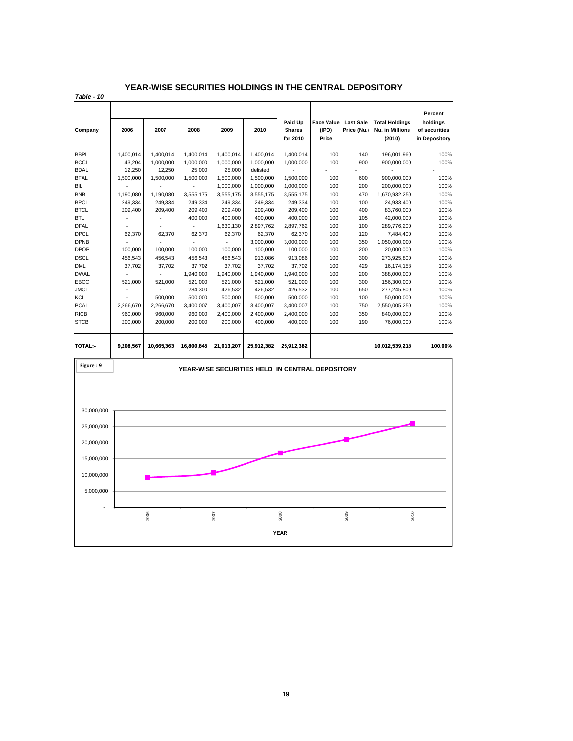#### **YEAR-WISE SECURITIES HOLDINGS IN THE CENTRAL DEPOSITORY**

*Table - 10*

| Company     | 2006                                 | 2007       | 2008       | 2009       | 2010       | Paid Up<br><b>Shares</b><br>for 2010            | <b>Face Value</b><br>(IPO)<br>Price | <b>Last Sale</b><br>Price (Nu.) | <b>Total Holdings</b><br>Nu. in Millions<br>(2010) | Percent<br>holdings<br>of securities<br>in Depository |
|-------------|--------------------------------------|------------|------------|------------|------------|-------------------------------------------------|-------------------------------------|---------------------------------|----------------------------------------------------|-------------------------------------------------------|
| <b>BBPL</b> | 1,400,014                            | 1,400,014  | 1,400,014  | 1,400,014  | 1,400,014  | 1,400,014                                       | 100                                 | 140                             | 196,001,960                                        | 100%                                                  |
| <b>BCCL</b> | 43,204                               | 1,000,000  | 1,000,000  | 1,000,000  | 1,000,000  | 1,000,000                                       | 100                                 | 900                             | 900,000,000                                        | 100%                                                  |
| <b>BDAL</b> | 12,250                               | 12,250     | 25,000     | 25,000     | delisted   |                                                 |                                     |                                 |                                                    |                                                       |
| <b>BFAL</b> | 1,500,000                            | 1,500,000  | 1,500,000  | 1,500,000  | 1,500,000  | 1,500,000                                       | 100                                 | 600                             | 900,000,000                                        | 100%                                                  |
| <b>BIL</b>  |                                      |            |            | 1,000,000  | 1,000,000  | 1,000,000                                       | 100                                 | 200                             | 200,000,000                                        | 100%                                                  |
| <b>BNB</b>  | 1,190,080                            | 1,190,080  | 3,555,175  | 3,555,175  | 3,555,175  | 3,555,175                                       | 100                                 | 470                             | 1,670,932,250                                      | 100%                                                  |
| <b>BPCL</b> | 249,334                              | 249,334    | 249,334    | 249,334    | 249,334    | 249,334                                         | 100                                 | 100                             | 24,933,400                                         | 100%                                                  |
| <b>BTCL</b> | 209,400                              | 209,400    | 209,400    | 209,400    | 209,400    | 209,400                                         | 100                                 | 400                             | 83,760,000                                         | 100%                                                  |
| <b>BTL</b>  |                                      |            | 400,000    | 400,000    | 400,000    | 400,000                                         | 100                                 | 105                             | 42,000,000                                         | 100%                                                  |
| <b>DFAL</b> |                                      |            |            | 1,630,130  | 2,897,762  | 2,897,762                                       | 100                                 | 100                             | 289,776,200                                        | 100%                                                  |
| <b>DPCL</b> | 62,370                               | 62,370     | 62,370     | 62,370     | 62,370     | 62,370                                          | 100                                 | 120                             | 7,484,400                                          | 100%                                                  |
| <b>DPNB</b> |                                      |            |            |            | 3,000,000  | 3,000,000                                       | 100                                 | 350                             | 1,050,000,000                                      | 100%                                                  |
| <b>DPOP</b> | 100,000                              | 100,000    | 100,000    | 100,000    | 100,000    | 100,000                                         | 100                                 | 200                             | 20,000,000                                         | 100%                                                  |
| <b>DSCL</b> | 456,543                              | 456,543    | 456,543    | 456,543    | 913,086    | 913,086                                         | 100                                 | 300                             | 273,925,800                                        | 100%                                                  |
| <b>DML</b>  | 37,702                               | 37,702     | 37,702     | 37,702     | 37,702     | 37,702                                          | 100                                 | 429                             | 16,174,158                                         | 100%                                                  |
| <b>DWAL</b> |                                      |            | 1,940,000  | 1,940,000  | 1,940,000  | 1,940,000                                       | 100                                 | 200                             | 388,000,000                                        | 100%                                                  |
| EBCC        | 521,000                              | 521,000    | 521,000    | 521,000    | 521,000    | 521,000                                         | 100                                 | 300                             | 156,300,000                                        | 100%                                                  |
| <b>JMCL</b> |                                      |            | 284,300    | 426,532    | 426,532    | 426,532                                         | 100                                 | 650                             | 277,245,800                                        | 100%                                                  |
| <b>KCL</b>  |                                      | 500,000    | 500,000    | 500,000    | 500,000    | 500,000                                         | 100                                 | 100                             | 50,000,000                                         | 100%                                                  |
| <b>PCAL</b> | 2,266,670                            | 2,266,670  | 3,400,007  | 3,400,007  | 3,400,007  | 3,400,007                                       | 100                                 | 750                             | 2,550,005,250                                      | 100%                                                  |
| <b>RICB</b> | 960,000                              | 960,000    | 960,000    | 2,400,000  | 2,400,000  | 2,400,000                                       | 100                                 | 350                             | 840,000,000                                        | 100%                                                  |
| <b>STCB</b> | 200,000                              | 200,000    | 200,000    | 200,000    | 400,000    | 400,000                                         | 100                                 | 190                             | 76,000,000                                         | 100%                                                  |
|             |                                      |            |            |            |            |                                                 |                                     |                                 |                                                    |                                                       |
| TOTAL:-     | 9,208,567                            | 10,665,363 | 16,800,845 | 21,013,207 | 25,912,382 | 25,912,382                                      |                                     |                                 | 10,012,539,218                                     | 100.00%                                               |
| Figure: 9   |                                      |            |            |            |            | YEAR-WISE SECURITIES HELD IN CENTRAL DEPOSITORY |                                     |                                 |                                                    |                                                       |
|             |                                      |            |            |            |            |                                                 |                                     |                                 |                                                    |                                                       |
| 30,000,000  |                                      |            |            |            |            |                                                 |                                     |                                 |                                                    |                                                       |
| 25,000,000  |                                      |            |            |            |            |                                                 |                                     |                                 |                                                    |                                                       |
| 20,000,000  |                                      |            |            |            |            |                                                 |                                     |                                 |                                                    |                                                       |
| 15,000,000  |                                      |            |            |            |            |                                                 |                                     |                                 |                                                    |                                                       |
| 10,000,000  |                                      |            |            |            |            |                                                 |                                     |                                 |                                                    |                                                       |
| 5,000,000   |                                      |            |            |            |            |                                                 |                                     |                                 |                                                    |                                                       |
|             |                                      |            |            |            |            |                                                 |                                     |                                 |                                                    |                                                       |
|             | 2010<br>2006<br>2008<br>2009<br>2007 |            |            |            |            |                                                 |                                     |                                 |                                                    |                                                       |
|             | <b>YEAR</b>                          |            |            |            |            |                                                 |                                     |                                 |                                                    |                                                       |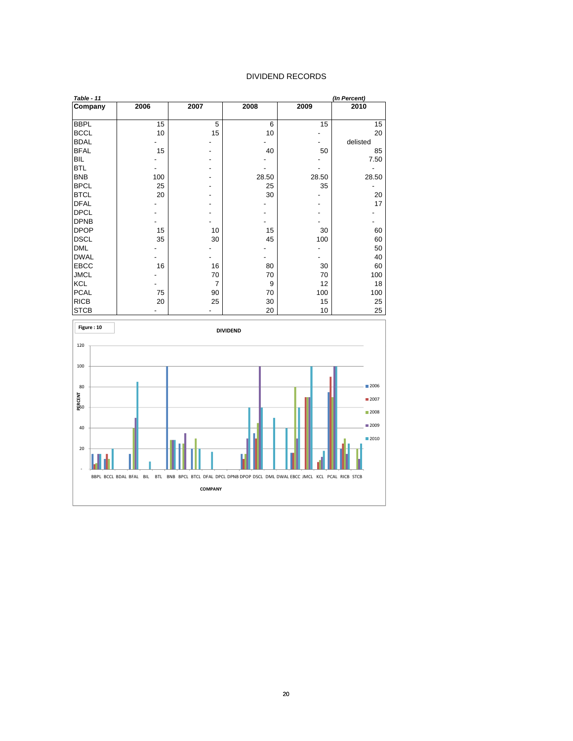#### DIVIDEND RECORDS

| Table - 11  |      |      |       |       | (In Percent) |
|-------------|------|------|-------|-------|--------------|
| Company     | 2006 | 2007 | 2008  | 2009  | 2010         |
|             |      |      |       |       |              |
| <b>BBPL</b> | 15   | 5    | 6     | 15    | 15           |
| <b>BCCL</b> | 10   | 15   | 10    |       | 20           |
| <b>BDAL</b> |      |      |       |       | delisted     |
| <b>BFAL</b> | 15   |      | 40    | 50    | 85           |
| <b>BIL</b>  |      |      |       |       | 7.50         |
| <b>BTL</b>  |      |      |       |       |              |
| <b>BNB</b>  | 100  |      | 28.50 | 28.50 | 28.50        |
| <b>BPCL</b> | 25   |      | 25    | 35    |              |
| <b>BTCL</b> | 20   |      | 30    |       | 20           |
| <b>DFAL</b> |      |      |       |       | 17           |
| <b>DPCL</b> |      |      |       |       |              |
| <b>DPNB</b> |      |      |       |       |              |
| <b>DPOP</b> | 15   | 10   | 15    | 30    | 60           |
| <b>DSCL</b> | 35   | 30   | 45    | 100   | 60           |
| <b>DML</b>  |      |      |       |       | 50           |
| <b>DWAL</b> |      |      |       |       | 40           |
| <b>EBCC</b> | 16   | 16   | 80    | 30    | 60           |
| <b>JMCL</b> |      | 70   | 70    | 70    | 100          |
| <b>KCL</b>  |      | 7    | 9     | 12    | 18           |
| <b>PCAL</b> | 75   | 90   | 70    | 100   | 100          |
| <b>RICB</b> | 20   | 25   | 30    | 15    | 25           |
| <b>STCB</b> |      |      | 20    | 10    | 25           |

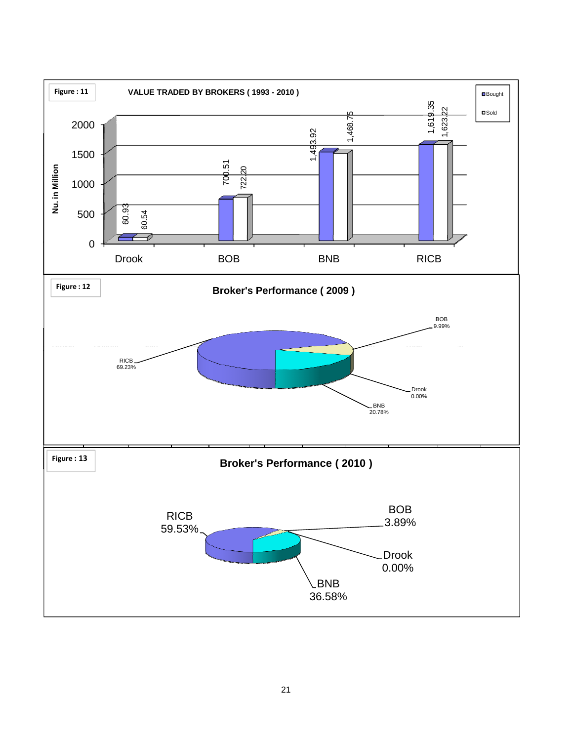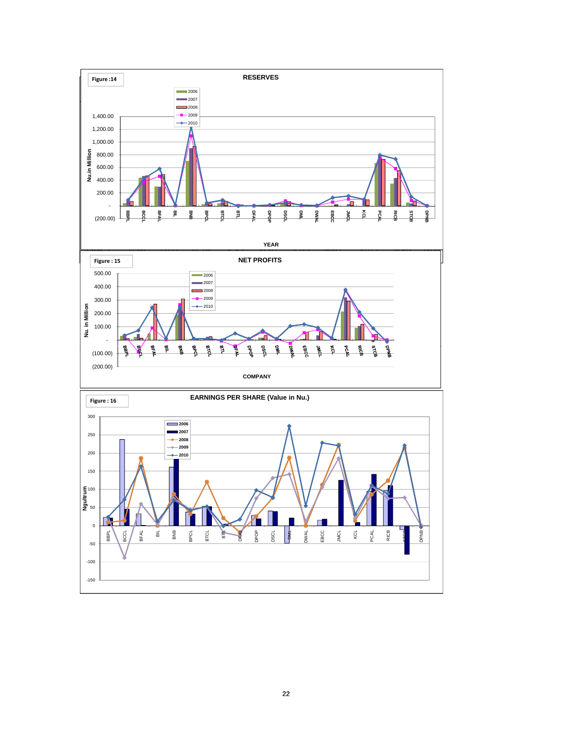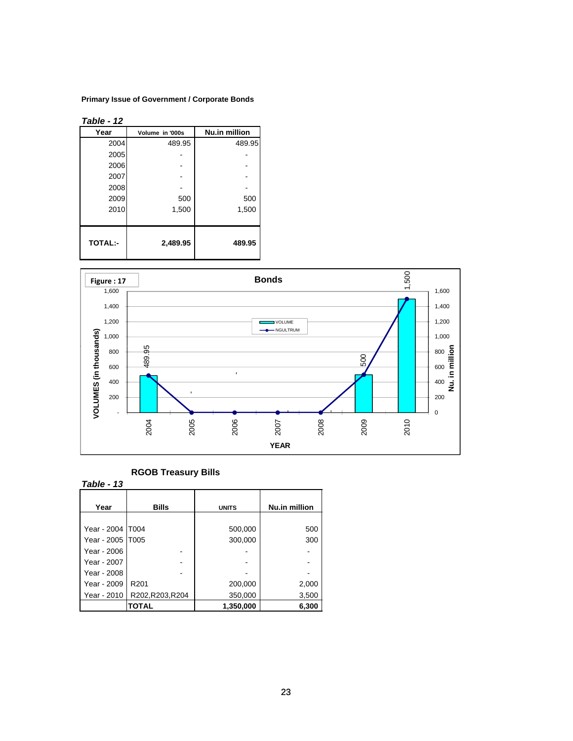#### **Primary Issue of Government / Corporate Bonds**

*Table - 12*

| , ,,,,<br>. .  |                 |               |
|----------------|-----------------|---------------|
| Year           | Volume in '000s | Nu.in million |
| 2004           | 489.95          | 489.95        |
| 2005           |                 |               |
| 2006           |                 |               |
| 2007           |                 |               |
| 2008           |                 |               |
| 2009           | 500             | 500           |
| 2010           | 1,500           | 1,500         |
|                |                 |               |
| <b>TOTAL:-</b> | 2,489.95        | 489.95        |



## **RGOB Treasury Bills**

| VOLUMES (in thousa<br>800<br>600<br>400<br>200                                                               | 489.95<br>$\blacksquare$                   | ı,                                       |                                    |
|--------------------------------------------------------------------------------------------------------------|--------------------------------------------|------------------------------------------|------------------------------------|
|                                                                                                              | 2004<br>2005                               | 2006                                     | <b>PUCC</b><br>2007<br><b>YEAR</b> |
| Table - 13<br>Year                                                                                           | <b>RGOB Treasury Bills</b><br><b>Bills</b> | <b>UNITS</b>                             | Nu.in million                      |
| Year - 2004   T004<br>Year - 2005<br>Year - 2006<br>Year - 2007<br>Year - 2008<br>Year - 2009<br>Year - 2010 | T005<br>R201<br>R202, R203, R204           | 500,000<br>300,000<br>200,000<br>350,000 | 500<br>300<br>2,000<br>3,500       |
|                                                                                                              | <b>TOTAL</b>                               | 1,350,000                                | 6,300                              |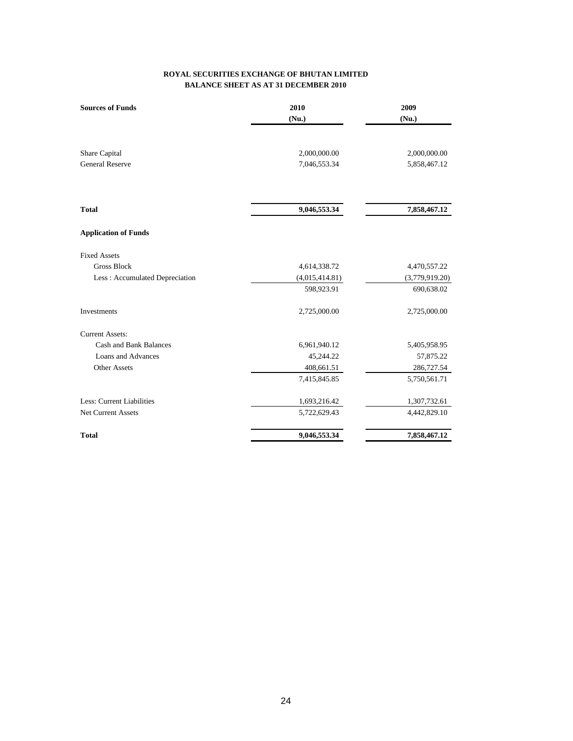#### **BALANCE SHEET AS AT 31 DECEMBER 2010 ROYAL SECURITIES EXCHANGE OF BHUTAN LIMITED**

| <b>Sources of Funds</b>        | 2010           | 2009           |
|--------------------------------|----------------|----------------|
|                                | (Nu.)          | (Nu.)          |
|                                |                |                |
| Share Capital                  | 2,000,000.00   | 2,000,000.00   |
| <b>General Reserve</b>         | 7,046,553.34   | 5,858,467.12   |
|                                |                |                |
| <b>Total</b>                   | 9,046,553.34   | 7,858,467.12   |
| <b>Application of Funds</b>    |                |                |
| <b>Fixed Assets</b>            |                |                |
| <b>Gross Block</b>             | 4,614,338.72   | 4,470,557.22   |
| Less: Accumulated Depreciation | (4,015,414.81) | (3,779,919.20) |
|                                | 598,923.91     | 690,638.02     |
| Investments                    | 2,725,000.00   | 2,725,000.00   |
| <b>Current Assets:</b>         |                |                |
| Cash and Bank Balances         | 6,961,940.12   | 5,405,958.95   |
| <b>Loans and Advances</b>      | 45,244.22      | 57,875.22      |
| Other Assets                   | 408,661.51     | 286,727.54     |
|                                | 7,415,845.85   | 5,750,561.71   |
| Less: Current Liabilities      | 1,693,216.42   | 1,307,732.61   |
| <b>Net Current Assets</b>      | 5,722,629.43   | 4,442,829.10   |
| <b>Total</b>                   | 9,046,553.34   | 7,858,467.12   |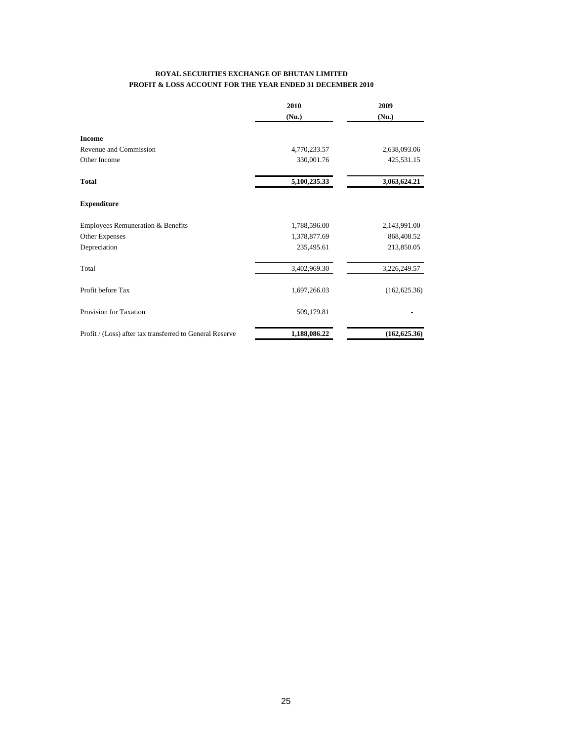#### **ROYAL SECURITIES EXCHANGE OF BHUTAN LIMITED PROFIT & LOSS ACCOUNT FOR THE YEAR ENDED 31 DECEMBER 2010**

|                                                          | 2010         | 2009<br>(Nu.) |
|----------------------------------------------------------|--------------|---------------|
|                                                          | (Nu.)        |               |
| <b>Income</b>                                            |              |               |
| Revenue and Commission                                   | 4,770,233.57 | 2,638,093.06  |
| Other Income                                             | 330,001.76   | 425,531.15    |
| <b>Total</b>                                             | 5,100,235.33 | 3,063,624.21  |
| <b>Expenditure</b>                                       |              |               |
| Employees Remuneration & Benefits                        | 1,788,596.00 | 2,143,991.00  |
| Other Expenses                                           | 1,378,877.69 | 868,408.52    |
| Depreciation                                             | 235,495.61   | 213,850.05    |
| Total                                                    | 3,402,969.30 | 3,226,249.57  |
| Profit before Tax                                        | 1,697,266.03 | (162, 625.36) |
| Provision for Taxation                                   | 509,179.81   |               |
| Profit / (Loss) after tax transferred to General Reserve | 1,188,086.22 | (162, 625.36) |